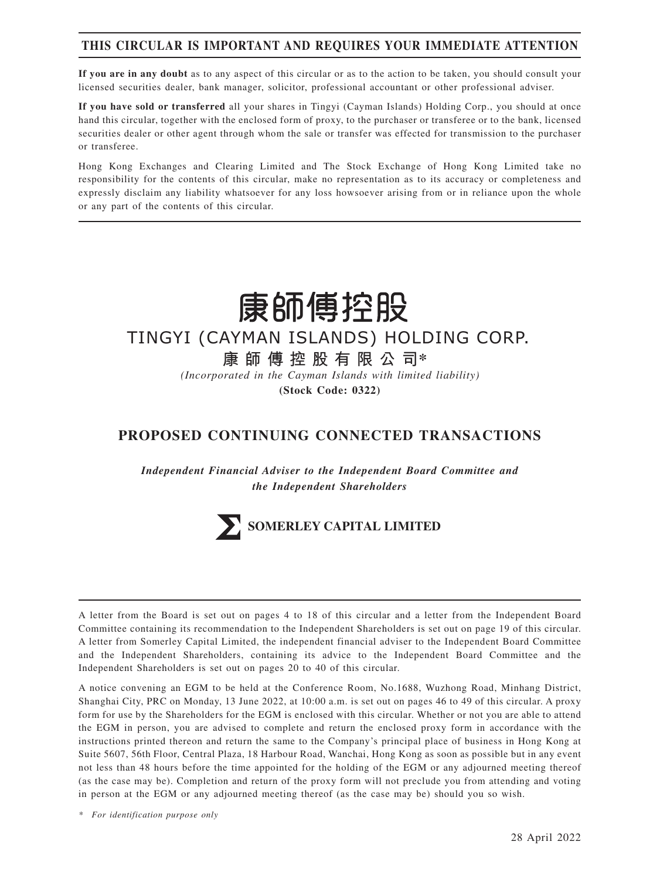# **THIS CIRCULAR IS IMPORTANT AND REQUIRES YOUR IMMEDIATE ATTENTION**

**If you are in any doubt** as to any aspect of this circular or as to the action to be taken, you should consult your licensed securities dealer, bank manager, solicitor, professional accountant or other professional adviser.

**If you have sold or transferred** all your shares in Tingyi (Cayman Islands) Holding Corp., you should at once hand this circular, together with the enclosed form of proxy, to the purchaser or transferee or to the bank, licensed securities dealer or other agent through whom the sale or transfer was effected for transmission to the purchaser or transferee.

Hong Kong Exchanges and Clearing Limited and The Stock Exchange of Hong Kong Limited take no responsibility for the contents of this circular, make no representation as to its accuracy or completeness and expressly disclaim any liability whatsoever for any loss howsoever arising from or in reliance upon the whole or any part of the contents of this circular.



# TINGYI (CAYMAN ISLANDS) HOLDING CORP.

**康師傅控股有限公司\***

*(Incorporated in the Cayman Islands with limited liability)*

**(Stock Code: 0322)**

# **PROPOSED CONTINUING CONNECTED TRANSACTIONS**

*Independent Financial Adviser to the Independent Board Committee and the Independent Shareholders*



A letter from the Board is set out on pages 4 to 18 of this circular and a letter from the Independent Board Committee containing its recommendation to the Independent Shareholders is set out on page 19 of this circular. A letter from Somerley Capital Limited, the independent financial adviser to the Independent Board Committee and the Independent Shareholders, containing its advice to the Independent Board Committee and the Independent Shareholders is set out on pages 20 to 40 of this circular.

A notice convening an EGM to be held at the Conference Room, No.1688, Wuzhong Road, Minhang District, Shanghai City, PRC on Monday, 13 June 2022, at 10:00 a.m. is set out on pages 46 to 49 of this circular. A proxy form for use by the Shareholders for the EGM is enclosed with this circular. Whether or not you are able to attend the EGM in person, you are advised to complete and return the enclosed proxy form in accordance with the instructions printed thereon and return the same to the Company's principal place of business in Hong Kong at Suite 5607, 56th Floor, Central Plaza, 18 Harbour Road, Wanchai, Hong Kong as soon as possible but in any event not less than 48 hours before the time appointed for the holding of the EGM or any adjourned meeting thereof (as the case may be). Completion and return of the proxy form will not preclude you from attending and voting in person at the EGM or any adjourned meeting thereof (as the case may be) should you so wish.

*\* For identification purpose only*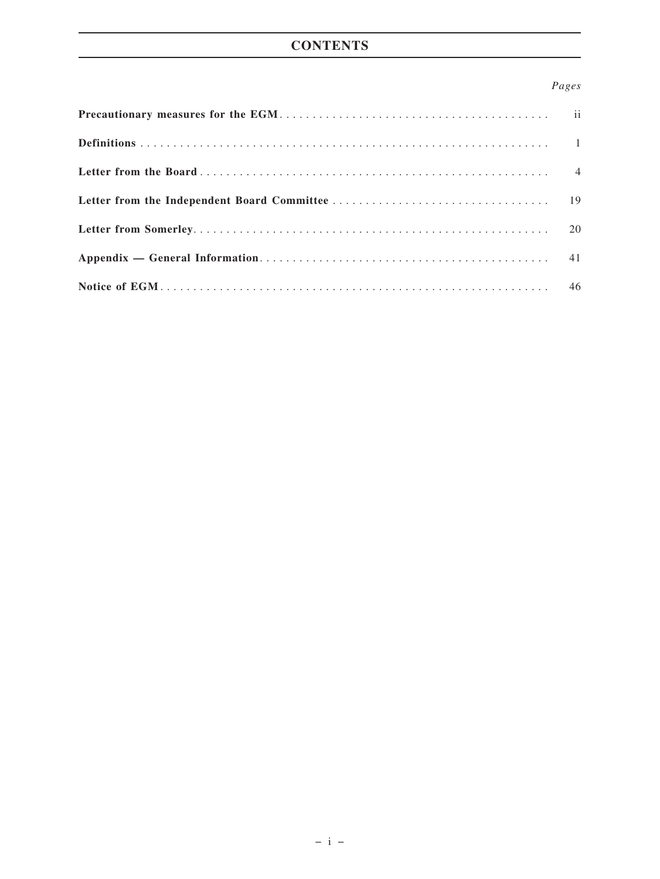# **CONTENTS**

# *Pages*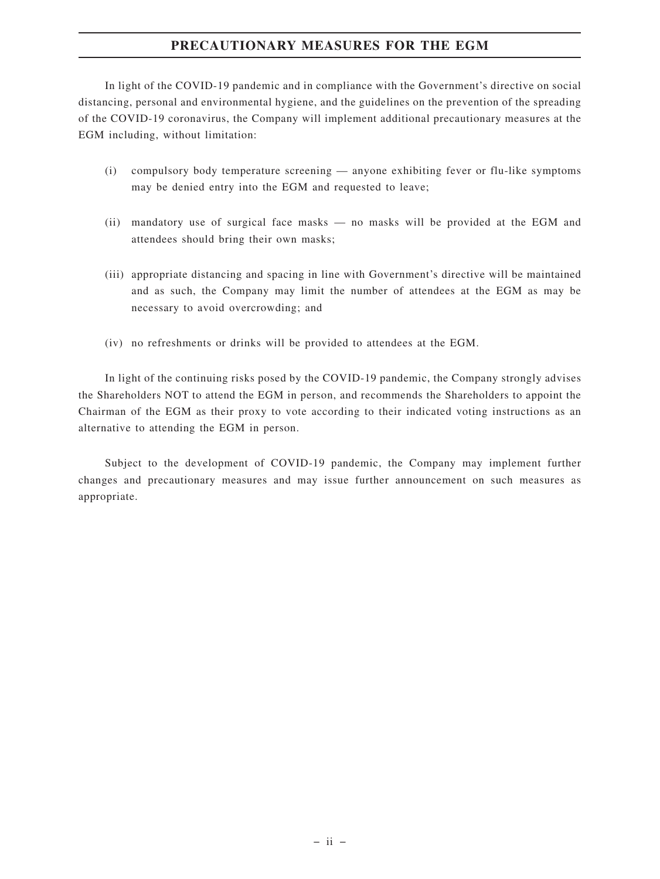# **PRECAUTIONARY MEASURES FOR THE EGM**

In light of the COVID-19 pandemic and in compliance with the Government's directive on social distancing, personal and environmental hygiene, and the guidelines on the prevention of the spreading of the COVID-19 coronavirus, the Company will implement additional precautionary measures at the EGM including, without limitation:

- (i) compulsory body temperature screening anyone exhibiting fever or flu-like symptoms may be denied entry into the EGM and requested to leave;
- (ii) mandatory use of surgical face masks no masks will be provided at the EGM and attendees should bring their own masks;
- (iii) appropriate distancing and spacing in line with Government's directive will be maintained and as such, the Company may limit the number of attendees at the EGM as may be necessary to avoid overcrowding; and
- (iv) no refreshments or drinks will be provided to attendees at the EGM.

In light of the continuing risks posed by the COVID-19 pandemic, the Company strongly advises the Shareholders NOT to attend the EGM in person, and recommends the Shareholders to appoint the Chairman of the EGM as their proxy to vote according to their indicated voting instructions as an alternative to attending the EGM in person.

Subject to the development of COVID-19 pandemic, the Company may implement further changes and precautionary measures and may issue further announcement on such measures as appropriate.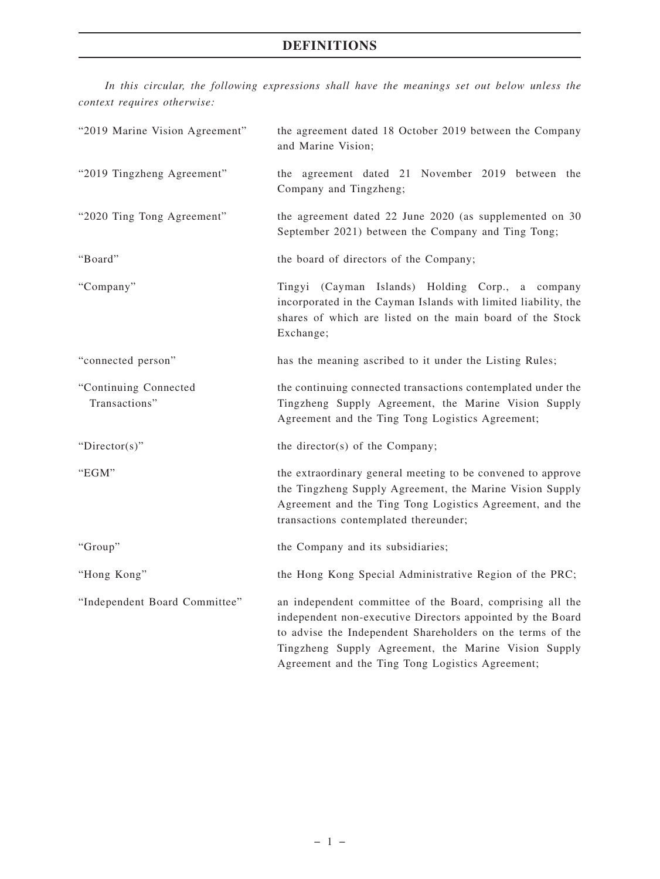# **DEFINITIONS**

*In this circular, the following expressions shall have the meanings set out below unless the context requires otherwise:*

| "2019 Marine Vision Agreement"         | the agreement dated 18 October 2019 between the Company<br>and Marine Vision;                                                                                                                                                                                                                     |  |  |  |
|----------------------------------------|---------------------------------------------------------------------------------------------------------------------------------------------------------------------------------------------------------------------------------------------------------------------------------------------------|--|--|--|
| "2019 Tingzheng Agreement"             | the agreement dated 21 November 2019 between the<br>Company and Tingzheng;                                                                                                                                                                                                                        |  |  |  |
| "2020 Ting Tong Agreement"             | the agreement dated 22 June 2020 (as supplemented on 30<br>September 2021) between the Company and Ting Tong;                                                                                                                                                                                     |  |  |  |
| "Board"                                | the board of directors of the Company;                                                                                                                                                                                                                                                            |  |  |  |
| "Company"                              | Tingyi (Cayman Islands) Holding Corp., a company<br>incorporated in the Cayman Islands with limited liability, the<br>shares of which are listed on the main board of the Stock<br>Exchange;                                                                                                      |  |  |  |
| "connected person"                     | has the meaning ascribed to it under the Listing Rules;                                                                                                                                                                                                                                           |  |  |  |
| "Continuing Connected<br>Transactions" | the continuing connected transactions contemplated under the<br>Tingzheng Supply Agreement, the Marine Vision Supply<br>Agreement and the Ting Tong Logistics Agreement;                                                                                                                          |  |  |  |
| " $Directory$ "                        | the director(s) of the Company;                                                                                                                                                                                                                                                                   |  |  |  |
| "EGM"                                  | the extraordinary general meeting to be convened to approve<br>the Tingzheng Supply Agreement, the Marine Vision Supply<br>Agreement and the Ting Tong Logistics Agreement, and the<br>transactions contemplated thereunder;                                                                      |  |  |  |
| "Group"                                | the Company and its subsidiaries;                                                                                                                                                                                                                                                                 |  |  |  |
| "Hong Kong"                            | the Hong Kong Special Administrative Region of the PRC;                                                                                                                                                                                                                                           |  |  |  |
| "Independent Board Committee"          | an independent committee of the Board, comprising all the<br>independent non-executive Directors appointed by the Board<br>to advise the Independent Shareholders on the terms of the<br>Tingzheng Supply Agreement, the Marine Vision Supply<br>Agreement and the Ting Tong Logistics Agreement; |  |  |  |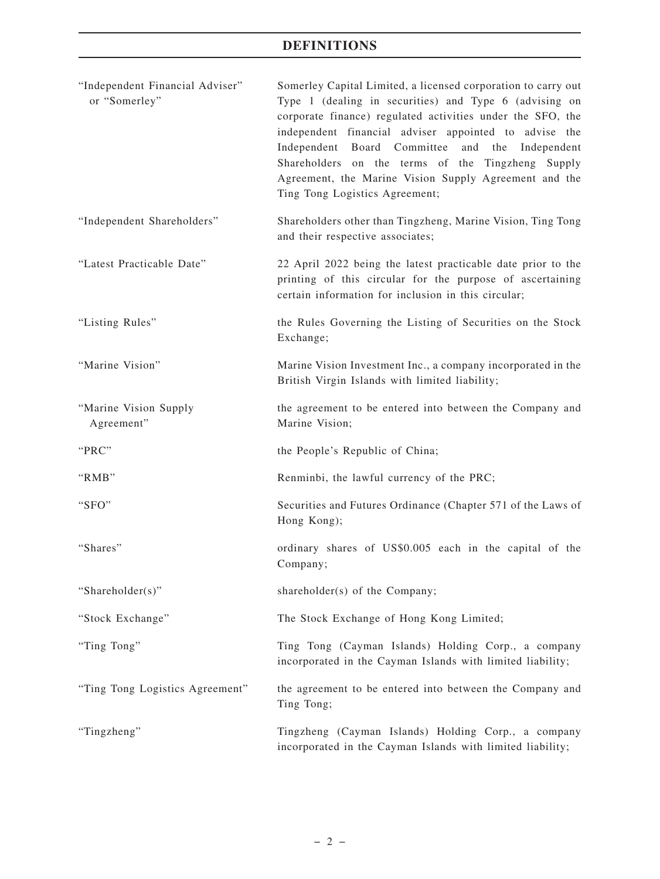# **DEFINITIONS**

| "Independent Financial Adviser"<br>or "Somerley" | Somerley Capital Limited, a licensed corporation to carry out<br>Type 1 (dealing in securities) and Type 6 (advising on<br>corporate finance) regulated activities under the SFO, the<br>independent financial adviser appointed to advise the<br>Independent Board Committee<br>and the<br>Independent<br>Shareholders on the terms of the Tingzheng Supply<br>Agreement, the Marine Vision Supply Agreement and the<br>Ting Tong Logistics Agreement; |
|--------------------------------------------------|---------------------------------------------------------------------------------------------------------------------------------------------------------------------------------------------------------------------------------------------------------------------------------------------------------------------------------------------------------------------------------------------------------------------------------------------------------|
| "Independent Shareholders"                       | Shareholders other than Tingzheng, Marine Vision, Ting Tong<br>and their respective associates;                                                                                                                                                                                                                                                                                                                                                         |
| "Latest Practicable Date"                        | 22 April 2022 being the latest practicable date prior to the<br>printing of this circular for the purpose of ascertaining<br>certain information for inclusion in this circular;                                                                                                                                                                                                                                                                        |
| "Listing Rules"                                  | the Rules Governing the Listing of Securities on the Stock<br>Exchange;                                                                                                                                                                                                                                                                                                                                                                                 |
| "Marine Vision"                                  | Marine Vision Investment Inc., a company incorporated in the<br>British Virgin Islands with limited liability;                                                                                                                                                                                                                                                                                                                                          |
| "Marine Vision Supply<br>Agreement"              | the agreement to be entered into between the Company and<br>Marine Vision;                                                                                                                                                                                                                                                                                                                                                                              |
| "PRC"                                            | the People's Republic of China;                                                                                                                                                                                                                                                                                                                                                                                                                         |
| "RMB"                                            | Renminbi, the lawful currency of the PRC;                                                                                                                                                                                                                                                                                                                                                                                                               |
| "SFO"                                            | Securities and Futures Ordinance (Chapter 571 of the Laws of<br>Hong Kong);                                                                                                                                                                                                                                                                                                                                                                             |
| "Shares"                                         | ordinary shares of US\$0.005 each in the capital of the<br>Company;                                                                                                                                                                                                                                                                                                                                                                                     |
| "Shareholder(s)"                                 | shareholder(s) of the Company;                                                                                                                                                                                                                                                                                                                                                                                                                          |
| "Stock Exchange"                                 | The Stock Exchange of Hong Kong Limited;                                                                                                                                                                                                                                                                                                                                                                                                                |
| "Ting Tong"                                      | Ting Tong (Cayman Islands) Holding Corp., a company<br>incorporated in the Cayman Islands with limited liability;                                                                                                                                                                                                                                                                                                                                       |
| "Ting Tong Logistics Agreement"                  | the agreement to be entered into between the Company and<br>Ting Tong;                                                                                                                                                                                                                                                                                                                                                                                  |
| "Tingzheng"                                      | Tingzheng (Cayman Islands) Holding Corp., a company<br>incorporated in the Cayman Islands with limited liability;                                                                                                                                                                                                                                                                                                                                       |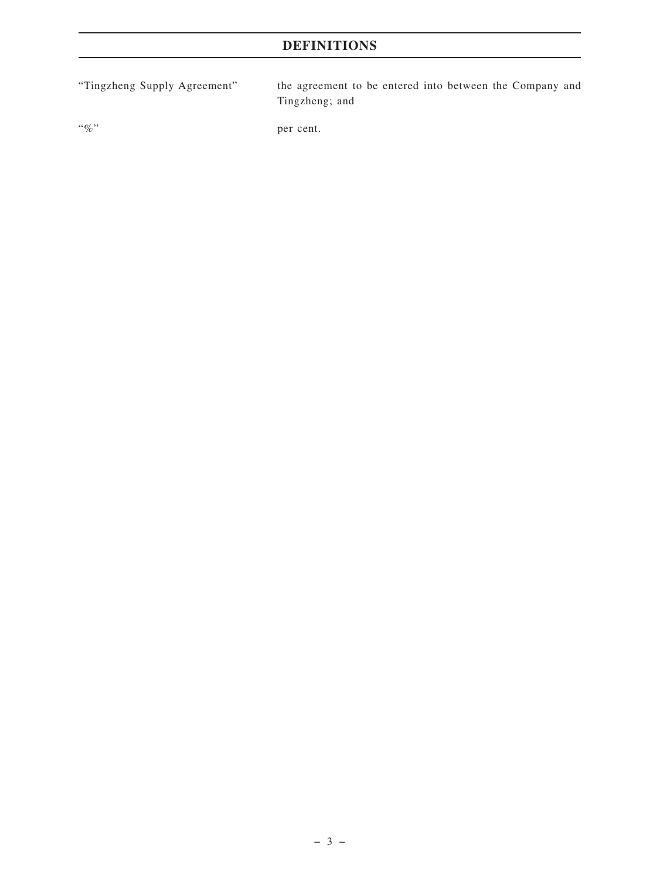# **DEFINITIONS**

"Tingzheng Supply Agreement" the agreement to be entered into between the Company and Tingzheng; and

"%" per cent.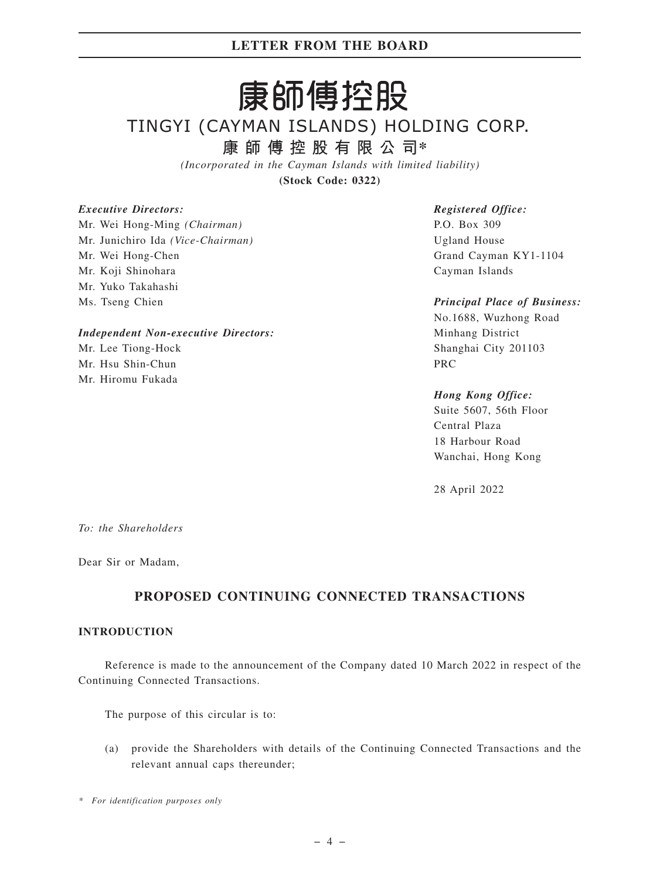# 康師傅控股

# TINGYI (CAYMAN ISLANDS) HOLDING CORP.

**康師傅控股有限公司\***

*(Incorporated in the Cayman Islands with limited liability)*

**(Stock Code: 0322)**

# *Executive Directors:*

Mr. Wei Hong-Ming *(Chairman)* Mr. Junichiro Ida *(Vice-Chairman)* Mr. Wei Hong-Chen Mr. Koji Shinohara Mr. Yuko Takahashi Ms. Tseng Chien

# *Independent Non-executive Directors:*

Mr. Lee Tiong-Hock Mr. Hsu Shin-Chun Mr. Hiromu Fukada

*Registered Office:* P.O. Box 309 Ugland House Grand Cayman KY1-1104 Cayman Islands

*Principal Place of Business:* No.1688, Wuzhong Road Minhang District Shanghai City 201103 PRC

# *Hong Kong Office:*

Suite 5607, 56th Floor Central Plaza 18 Harbour Road Wanchai, Hong Kong

28 April 2022

*To: the Shareholders*

Dear Sir or Madam,

# **PROPOSED CONTINUING CONNECTED TRANSACTIONS**

# **INTRODUCTION**

Reference is made to the announcement of the Company dated 10 March 2022 in respect of the Continuing Connected Transactions.

The purpose of this circular is to:

(a) provide the Shareholders with details of the Continuing Connected Transactions and the relevant annual caps thereunder;

*\* For identification purposes only*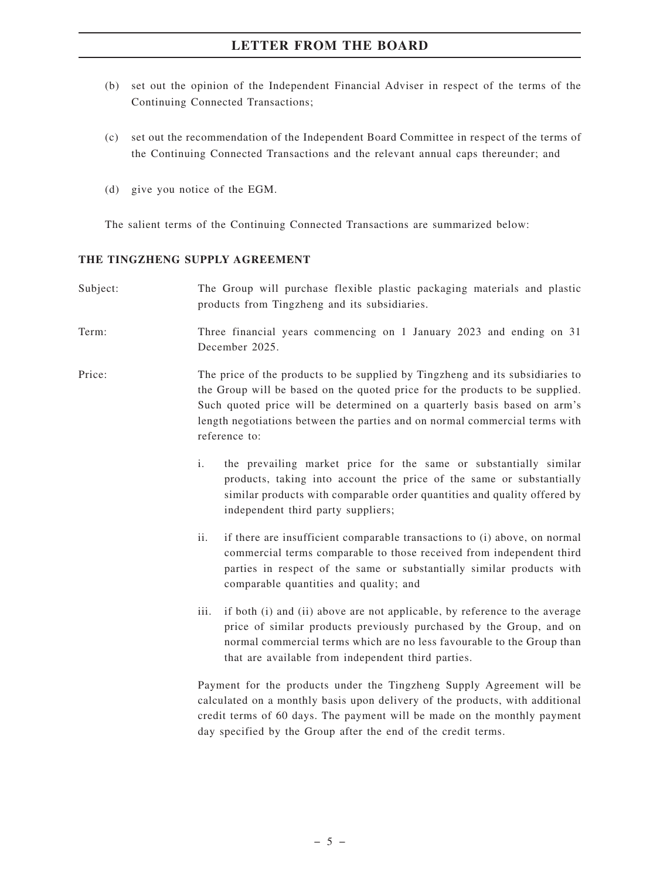- (b) set out the opinion of the Independent Financial Adviser in respect of the terms of the Continuing Connected Transactions;
- (c) set out the recommendation of the Independent Board Committee in respect of the terms of the Continuing Connected Transactions and the relevant annual caps thereunder; and
- (d) give you notice of the EGM.

The salient terms of the Continuing Connected Transactions are summarized below:

# **THE TINGZHENG SUPPLY AGREEMENT**

| Subject: | The Group will purchase flexible plastic packaging materials and plastic<br>products from Tingzheng and its subsidiaries.                                                                                                                                                                                                                 |  |  |
|----------|-------------------------------------------------------------------------------------------------------------------------------------------------------------------------------------------------------------------------------------------------------------------------------------------------------------------------------------------|--|--|
| Term:    | Three financial years commencing on 1 January 2023 and ending on 31<br>December 2025.                                                                                                                                                                                                                                                     |  |  |
| Price:   | The price of the products to be supplied by Tingzheng and its subsidiaries to<br>the Group will be based on the quoted price for the products to be supplied.<br>Such quoted price will be determined on a quarterly basis based on arm's<br>length negotiations between the parties and on normal commercial terms with<br>reference to: |  |  |
|          | i.<br>the prevailing market price for the same or substantially similar<br>products, taking into account the price of the same or substantially<br>similar products with comparable order quantities and quality offered by<br>independent third party suppliers;                                                                         |  |  |
|          | ii.<br>if there are insufficient comparable transactions to (i) above, on normal<br>commercial terms comparable to those received from independent third<br>parties in respect of the same or substantially similar products with<br>comparable quantities and quality; and                                                               |  |  |
|          | if both (i) and (ii) above are not applicable, by reference to the average<br>iii.<br>price of similar products previously purchased by the Group, and on<br>normal commercial terms which are no less favourable to the Group than<br>that are available from independent third parties.                                                 |  |  |
|          | Payment for the products under the Tingzheng Supply Agreement will be<br>calculated on a monthly basis upon delivery of the products, with additional<br>credit terms of 60 days. The payment will be made on the monthly payment<br>day specified by the Group after the end of the credit terms.                                        |  |  |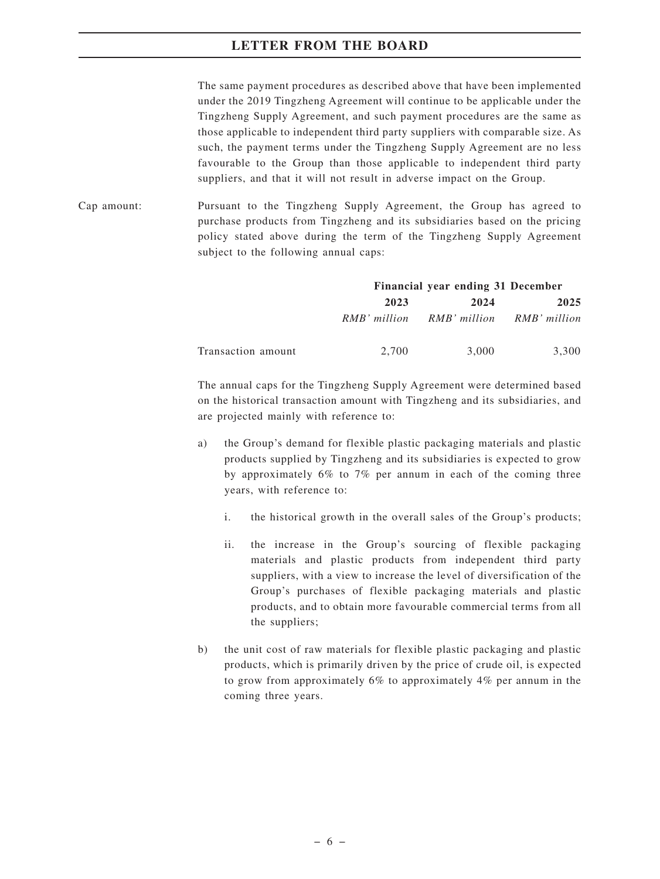The same payment procedures as described above that have been implemented under the 2019 Tingzheng Agreement will continue to be applicable under the Tingzheng Supply Agreement, and such payment procedures are the same as those applicable to independent third party suppliers with comparable size. As such, the payment terms under the Tingzheng Supply Agreement are no less favourable to the Group than those applicable to independent third party suppliers, and that it will not result in adverse impact on the Group.

Cap amount: Pursuant to the Tingzheng Supply Agreement, the Group has agreed to purchase products from Tingzheng and its subsidiaries based on the pricing policy stated above during the term of the Tingzheng Supply Agreement subject to the following annual caps:

|                    |              | Financial year ending 31 December |       |  |
|--------------------|--------------|-----------------------------------|-------|--|
|                    | 2023         | 2024                              | 2025  |  |
|                    | RMB' million | RMB' million RMB' million         |       |  |
| Transaction amount | 2.700        | 3,000                             | 3.300 |  |

The annual caps for the Tingzheng Supply Agreement were determined based on the historical transaction amount with Tingzheng and its subsidiaries, and are projected mainly with reference to:

- a) the Group's demand for flexible plastic packaging materials and plastic products supplied by Tingzheng and its subsidiaries is expected to grow by approximately 6% to 7% per annum in each of the coming three years, with reference to:
	- i. the historical growth in the overall sales of the Group's products;
	- ii. the increase in the Group's sourcing of flexible packaging materials and plastic products from independent third party suppliers, with a view to increase the level of diversification of the Group's purchases of flexible packaging materials and plastic products, and to obtain more favourable commercial terms from all the suppliers;
- b) the unit cost of raw materials for flexible plastic packaging and plastic products, which is primarily driven by the price of crude oil, is expected to grow from approximately 6% to approximately 4% per annum in the coming three years.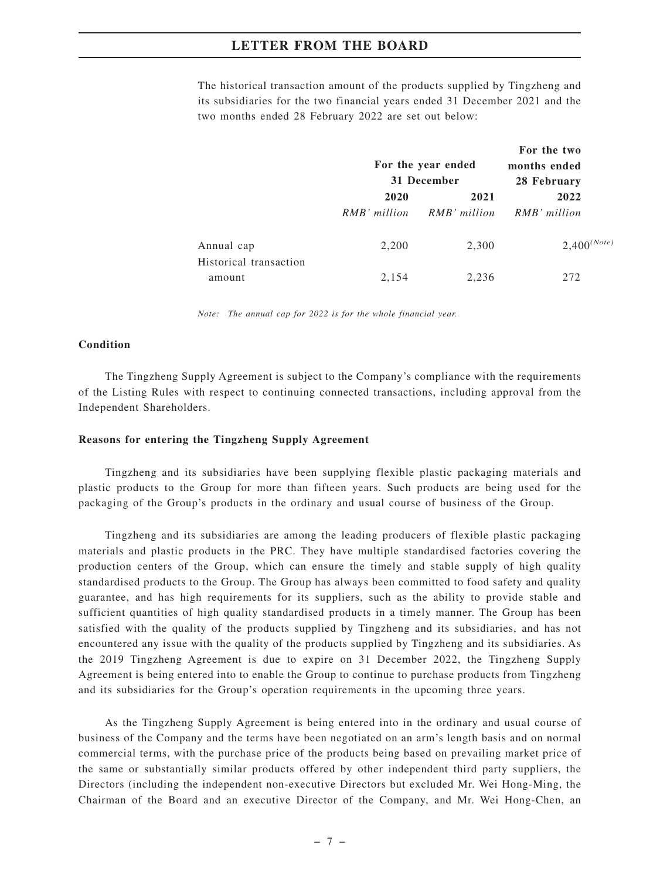The historical transaction amount of the products supplied by Tingzheng and its subsidiaries for the two financial years ended 31 December 2021 and the two months ended 28 February 2022 are set out below:

|                                  | For the year ended<br>31 December |              | For the two<br>months ended<br>28 February |  |
|----------------------------------|-----------------------------------|--------------|--------------------------------------------|--|
|                                  | 2020                              | 2021         | 2022                                       |  |
|                                  | RMB' million                      | RMB' million | RMB' million                               |  |
| Annual cap                       | 2,200                             | 2,300        | $2,400^{(Note)}$                           |  |
| Historical transaction<br>amount | 2,154                             | 2,236        | 272                                        |  |

*Note: The annual cap for 2022 is for the whole financial year.*

#### **Condition**

The Tingzheng Supply Agreement is subject to the Company's compliance with the requirements of the Listing Rules with respect to continuing connected transactions, including approval from the Independent Shareholders.

#### **Reasons for entering the Tingzheng Supply Agreement**

Tingzheng and its subsidiaries have been supplying flexible plastic packaging materials and plastic products to the Group for more than fifteen years. Such products are being used for the packaging of the Group's products in the ordinary and usual course of business of the Group.

Tingzheng and its subsidiaries are among the leading producers of flexible plastic packaging materials and plastic products in the PRC. They have multiple standardised factories covering the production centers of the Group, which can ensure the timely and stable supply of high quality standardised products to the Group. The Group has always been committed to food safety and quality guarantee, and has high requirements for its suppliers, such as the ability to provide stable and sufficient quantities of high quality standardised products in a timely manner. The Group has been satisfied with the quality of the products supplied by Tingzheng and its subsidiaries, and has not encountered any issue with the quality of the products supplied by Tingzheng and its subsidiaries. As the 2019 Tingzheng Agreement is due to expire on 31 December 2022, the Tingzheng Supply Agreement is being entered into to enable the Group to continue to purchase products from Tingzheng and its subsidiaries for the Group's operation requirements in the upcoming three years.

As the Tingzheng Supply Agreement is being entered into in the ordinary and usual course of business of the Company and the terms have been negotiated on an arm's length basis and on normal commercial terms, with the purchase price of the products being based on prevailing market price of the same or substantially similar products offered by other independent third party suppliers, the Directors (including the independent non-executive Directors but excluded Mr. Wei Hong-Ming, the Chairman of the Board and an executive Director of the Company, and Mr. Wei Hong-Chen, an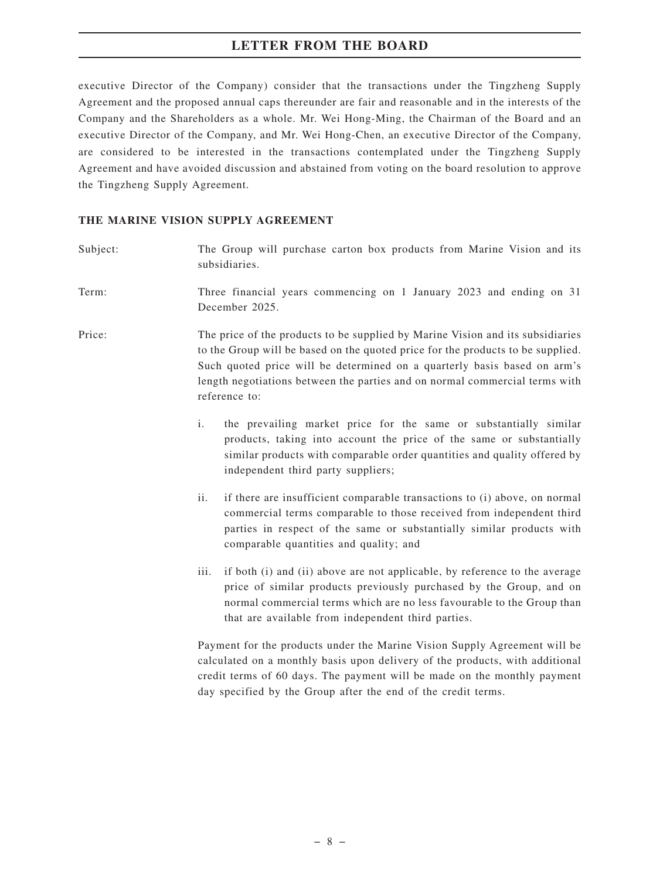executive Director of the Company) consider that the transactions under the Tingzheng Supply Agreement and the proposed annual caps thereunder are fair and reasonable and in the interests of the Company and the Shareholders as a whole. Mr. Wei Hong-Ming, the Chairman of the Board and an executive Director of the Company, and Mr. Wei Hong-Chen, an executive Director of the Company, are considered to be interested in the transactions contemplated under the Tingzheng Supply Agreement and have avoided discussion and abstained from voting on the board resolution to approve the Tingzheng Supply Agreement.

# **THE MARINE VISION SUPPLY AGREEMENT**

| Subject: | The Group will purchase carton box products from Marine Vision and its<br>subsidiaries.                                                                                                                                                                                                                                                       |  |  |
|----------|-----------------------------------------------------------------------------------------------------------------------------------------------------------------------------------------------------------------------------------------------------------------------------------------------------------------------------------------------|--|--|
| Term:    | Three financial years commencing on 1 January 2023 and ending on 31<br>December 2025.                                                                                                                                                                                                                                                         |  |  |
| Price:   | The price of the products to be supplied by Marine Vision and its subsidiaries<br>to the Group will be based on the quoted price for the products to be supplied.<br>Such quoted price will be determined on a quarterly basis based on arm's<br>length negotiations between the parties and on normal commercial terms with<br>reference to: |  |  |
|          | $\mathbf{i}$ .<br>the prevailing market price for the same or substantially similar<br>products, taking into account the price of the same or substantially<br>similar products with comparable order quantities and quality offered by<br>independent third party suppliers;                                                                 |  |  |
|          | ii.<br>if there are insufficient comparable transactions to (i) above, on normal<br>commercial terms comparable to those received from independent third<br>parties in respect of the same or substantially similar products with<br>comparable quantities and quality; and                                                                   |  |  |
|          | iii.<br>if both (i) and (ii) above are not applicable, by reference to the average<br>price of similar products previously purchased by the Group, and on<br>normal commercial terms which are no less favourable to the Group than<br>that are available from independent third parties.                                                     |  |  |
|          | Payment for the products under the Marine Vision Supply Agreement will be                                                                                                                                                                                                                                                                     |  |  |

calculated on a monthly basis upon delivery of the products, with additional credit terms of 60 days. The payment will be made on the monthly payment day specified by the Group after the end of the credit terms.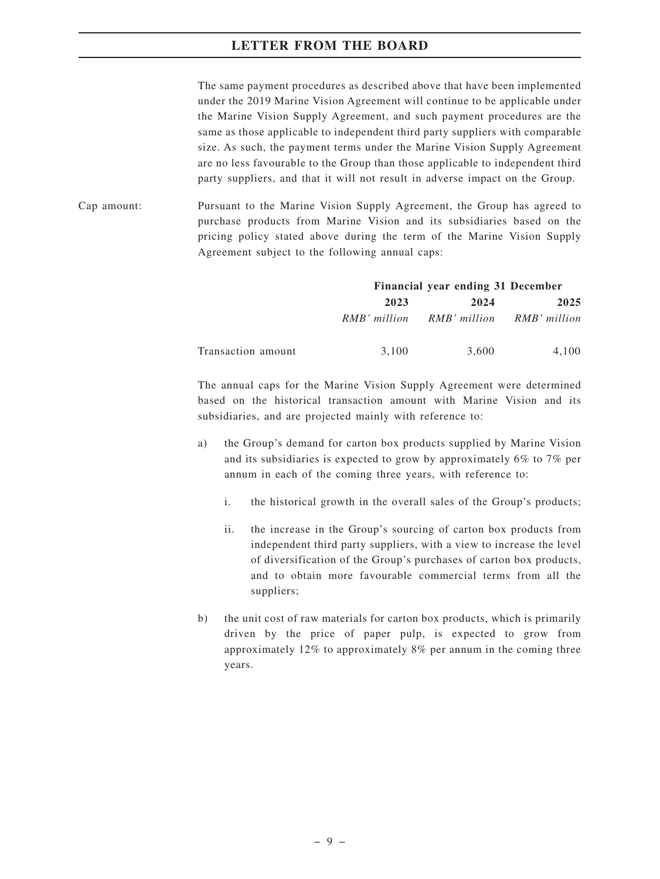The same payment procedures as described above that have been implemented under the 2019 Marine Vision Agreement will continue to be applicable under the Marine Vision Supply Agreement, and such payment procedures are the same as those applicable to independent third party suppliers with comparable size. As such, the payment terms under the Marine Vision Supply Agreement are no less favourable to the Group than those applicable to independent third party suppliers, and that it will not result in adverse impact on the Group.

Cap amount: Pursuant to the Marine Vision Supply Agreement, the Group has agreed to purchase products from Marine Vision and its subsidiaries based on the pricing policy stated above during the term of the Marine Vision Supply Agreement subject to the following annual caps:

|                    |       | Financial year ending 31 December      |       |
|--------------------|-------|----------------------------------------|-------|
|                    | 2023  | 2024                                   | 2025  |
|                    |       | RMB' million RMB' million RMB' million |       |
| Transaction amount | 3.100 | 3,600                                  | 4.100 |

The annual caps for the Marine Vision Supply Agreement were determined based on the historical transaction amount with Marine Vision and its subsidiaries, and are projected mainly with reference to:

- a) the Group's demand for carton box products supplied by Marine Vision and its subsidiaries is expected to grow by approximately 6% to 7% per annum in each of the coming three years, with reference to:
	- i. the historical growth in the overall sales of the Group's products;
	- ii. the increase in the Group's sourcing of carton box products from independent third party suppliers, with a view to increase the level of diversification of the Group's purchases of carton box products, and to obtain more favourable commercial terms from all the suppliers;
- b) the unit cost of raw materials for carton box products, which is primarily driven by the price of paper pulp, is expected to grow from approximately 12% to approximately 8% per annum in the coming three years.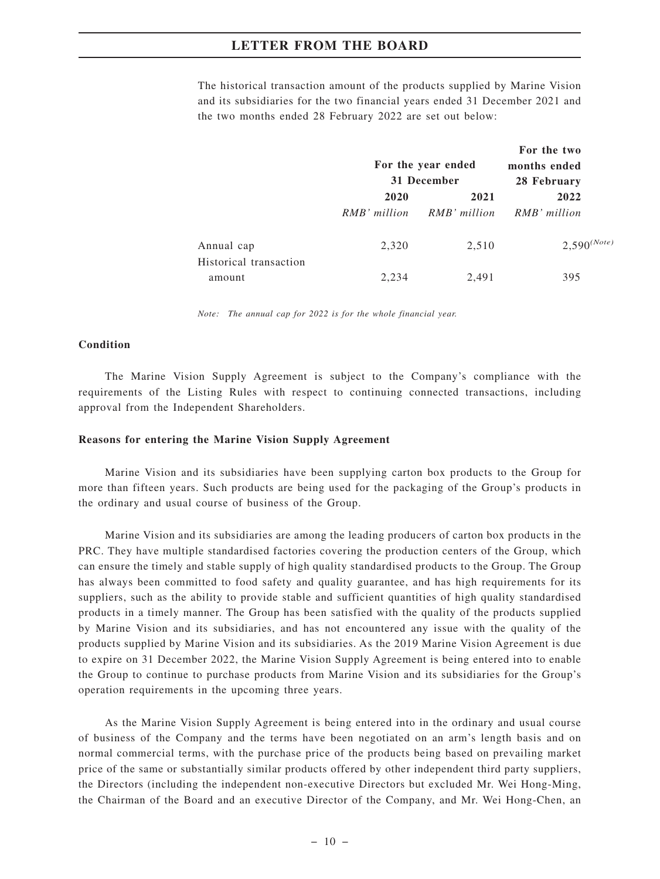The historical transaction amount of the products supplied by Marine Vision and its subsidiaries for the two financial years ended 31 December 2021 and the two months ended 28 February 2022 are set out below:

|                                  | For the year ended<br>31 December |                      | For the two<br>months ended<br>28 February |  |
|----------------------------------|-----------------------------------|----------------------|--------------------------------------------|--|
|                                  | 2020<br>RMB' million              | 2021<br>RMB' million | 2022<br>RMB' million                       |  |
| Annual cap                       | 2,320                             | 2,510                | $2,590^{(Note)}$                           |  |
| Historical transaction<br>amount | 2.234                             | 2,491                | 395                                        |  |

*Note: The annual cap for 2022 is for the whole financial year.*

#### **Condition**

The Marine Vision Supply Agreement is subject to the Company's compliance with the requirements of the Listing Rules with respect to continuing connected transactions, including approval from the Independent Shareholders.

#### **Reasons for entering the Marine Vision Supply Agreement**

Marine Vision and its subsidiaries have been supplying carton box products to the Group for more than fifteen years. Such products are being used for the packaging of the Group's products in the ordinary and usual course of business of the Group.

Marine Vision and its subsidiaries are among the leading producers of carton box products in the PRC. They have multiple standardised factories covering the production centers of the Group, which can ensure the timely and stable supply of high quality standardised products to the Group. The Group has always been committed to food safety and quality guarantee, and has high requirements for its suppliers, such as the ability to provide stable and sufficient quantities of high quality standardised products in a timely manner. The Group has been satisfied with the quality of the products supplied by Marine Vision and its subsidiaries, and has not encountered any issue with the quality of the products supplied by Marine Vision and its subsidiaries. As the 2019 Marine Vision Agreement is due to expire on 31 December 2022, the Marine Vision Supply Agreement is being entered into to enable the Group to continue to purchase products from Marine Vision and its subsidiaries for the Group's operation requirements in the upcoming three years.

As the Marine Vision Supply Agreement is being entered into in the ordinary and usual course of business of the Company and the terms have been negotiated on an arm's length basis and on normal commercial terms, with the purchase price of the products being based on prevailing market price of the same or substantially similar products offered by other independent third party suppliers, the Directors (including the independent non-executive Directors but excluded Mr. Wei Hong-Ming, the Chairman of the Board and an executive Director of the Company, and Mr. Wei Hong-Chen, an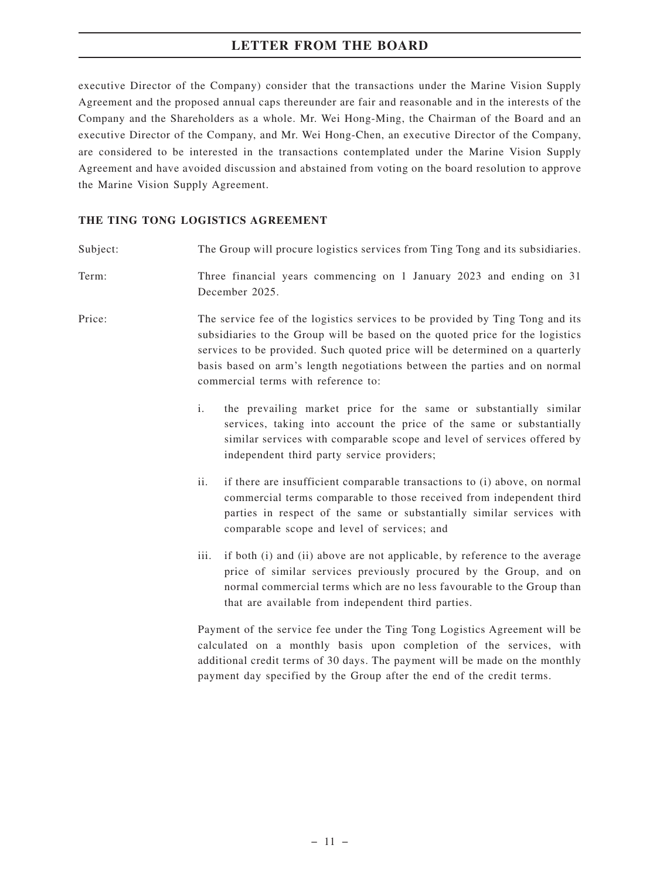executive Director of the Company) consider that the transactions under the Marine Vision Supply Agreement and the proposed annual caps thereunder are fair and reasonable and in the interests of the Company and the Shareholders as a whole. Mr. Wei Hong-Ming, the Chairman of the Board and an executive Director of the Company, and Mr. Wei Hong-Chen, an executive Director of the Company, are considered to be interested in the transactions contemplated under the Marine Vision Supply Agreement and have avoided discussion and abstained from voting on the board resolution to approve the Marine Vision Supply Agreement.

# **THE TING TONG LOGISTICS AGREEMENT**

| Subject: | The Group will procure logistics services from Ting Tong and its subsidiaries.                                                                                                                                                                                                                                                                                      |
|----------|---------------------------------------------------------------------------------------------------------------------------------------------------------------------------------------------------------------------------------------------------------------------------------------------------------------------------------------------------------------------|
| Term:    | Three financial years commencing on 1 January 2023 and ending on 31<br>December 2025.                                                                                                                                                                                                                                                                               |
| Price:   | The service fee of the logistics services to be provided by Ting Tong and its<br>subsidiaries to the Group will be based on the quoted price for the logistics<br>services to be provided. Such quoted price will be determined on a quarterly<br>basis based on arm's length negotiations between the parties and on normal<br>commercial terms with reference to: |
|          | i.<br>the prevailing market price for the same or substantially similar<br>services, taking into account the price of the same or substantially<br>similar services with comparable scope and level of services offered by<br>independent third party service providers;                                                                                            |
|          | if there are insufficient comparable transactions to (i) above, on normal<br>ii.<br>commercial terms comparable to those received from independent third<br>parties in respect of the same or substantially similar services with<br>comparable scope and level of services; and                                                                                    |
|          | iii.<br>if both (i) and (ii) above are not applicable, by reference to the average<br>price of similar services previously procured by the Group, and on<br>normal commercial terms which are no less favourable to the Group than<br>that are available from independent third parties.                                                                            |
|          | Payment of the service fee under the Ting Tong Logistics Agreement will be<br>coloulated on a monthly have unon completion of the corvices with                                                                                                                                                                                                                     |

calculated on a monthly basis upon completion of the services, with additional credit terms of 30 days. The payment will be made on the monthly payment day specified by the Group after the end of the credit terms.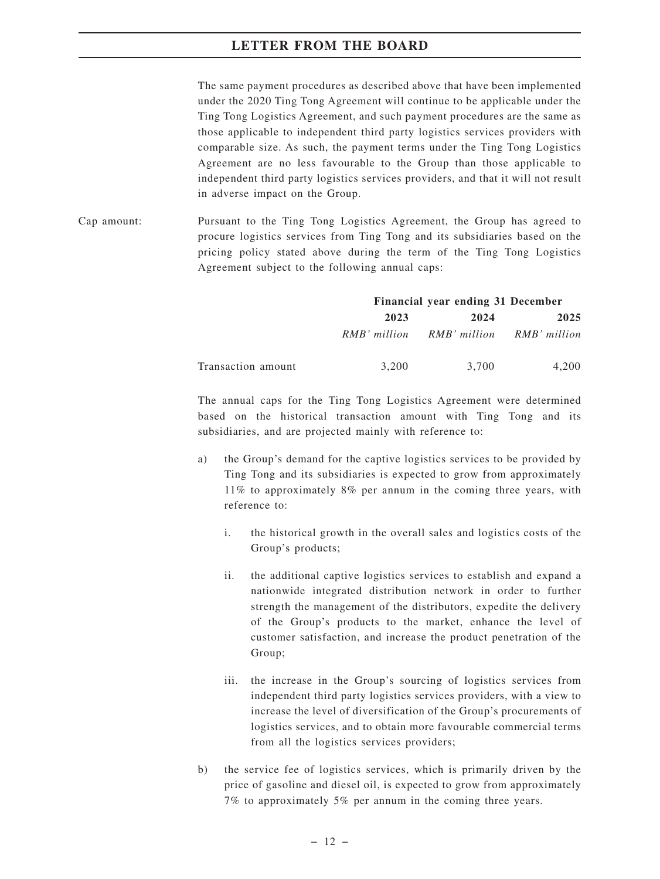The same payment procedures as described above that have been implemented under the 2020 Ting Tong Agreement will continue to be applicable under the Ting Tong Logistics Agreement, and such payment procedures are the same as those applicable to independent third party logistics services providers with comparable size. As such, the payment terms under the Ting Tong Logistics Agreement are no less favourable to the Group than those applicable to independent third party logistics services providers, and that it will not result in adverse impact on the Group.

Cap amount: Pursuant to the Ting Tong Logistics Agreement, the Group has agreed to procure logistics services from Ting Tong and its subsidiaries based on the pricing policy stated above during the term of the Ting Tong Logistics Agreement subject to the following annual caps:

|                    |              | Financial year ending 31 December |       |
|--------------------|--------------|-----------------------------------|-------|
|                    | 2023         | 2024                              | 2025  |
|                    | RMB' million | RMB' million RMB' million         |       |
| Transaction amount | 3.200        | 3.700                             | 4.200 |

The annual caps for the Ting Tong Logistics Agreement were determined based on the historical transaction amount with Ting Tong and its subsidiaries, and are projected mainly with reference to:

- a) the Group's demand for the captive logistics services to be provided by Ting Tong and its subsidiaries is expected to grow from approximately 11% to approximately 8% per annum in the coming three years, with reference to:
	- i. the historical growth in the overall sales and logistics costs of the Group's products;
	- ii. the additional captive logistics services to establish and expand a nationwide integrated distribution network in order to further strength the management of the distributors, expedite the delivery of the Group's products to the market, enhance the level of customer satisfaction, and increase the product penetration of the Group;
	- iii. the increase in the Group's sourcing of logistics services from independent third party logistics services providers, with a view to increase the level of diversification of the Group's procurements of logistics services, and to obtain more favourable commercial terms from all the logistics services providers;
- b) the service fee of logistics services, which is primarily driven by the price of gasoline and diesel oil, is expected to grow from approximately 7% to approximately 5% per annum in the coming three years.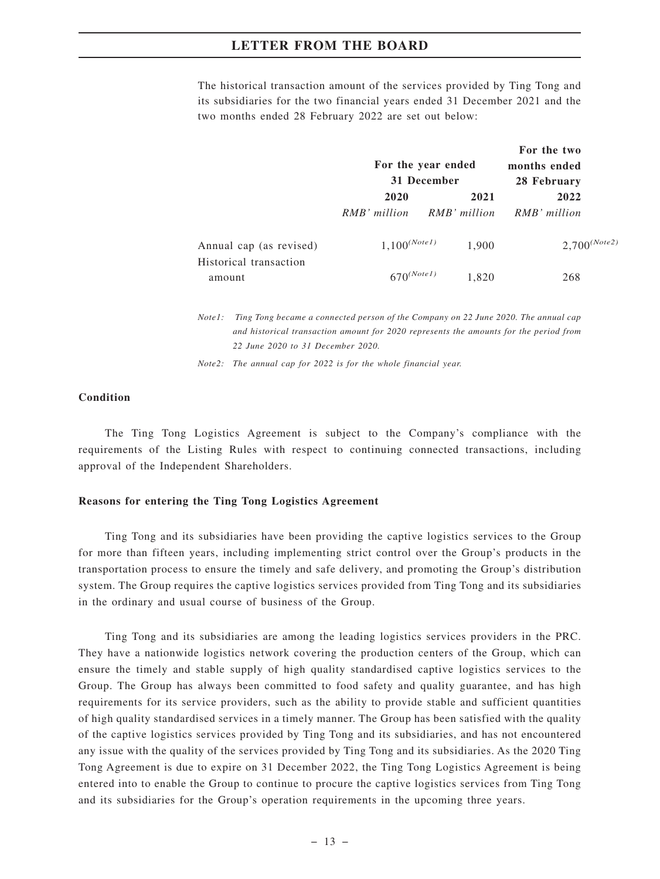The historical transaction amount of the services provided by Ting Tong and its subsidiaries for the two financial years ended 31 December 2021 and the two months ended 28 February 2022 are set out below:

|                                                   | For the year ended<br>31 December |              | For the two<br>months ended<br>28 February |  |
|---------------------------------------------------|-----------------------------------|--------------|--------------------------------------------|--|
|                                                   | 2020                              | 2021         | 2022                                       |  |
|                                                   | RMB' million                      | RMB' million | RMB' million                               |  |
| Annual cap (as revised)<br>Historical transaction | $1,100^{(Note1)}$                 | 1,900        | $2,700^{(Note2)}$                          |  |
| amount                                            | $670^{(Note1)}$                   | 1,820        | 268                                        |  |

*Note1: Ting Tong became a connected person of the Company on 22 June 2020. The annual cap and historical transaction amount for 2020 represents the amounts for the period from 22 June 2020 to 31 December 2020.*

*Note2: The annual cap for 2022 is for the whole financial year.*

#### **Condition**

The Ting Tong Logistics Agreement is subject to the Company's compliance with the requirements of the Listing Rules with respect to continuing connected transactions, including approval of the Independent Shareholders.

#### **Reasons for entering the Ting Tong Logistics Agreement**

Ting Tong and its subsidiaries have been providing the captive logistics services to the Group for more than fifteen years, including implementing strict control over the Group's products in the transportation process to ensure the timely and safe delivery, and promoting the Group's distribution system. The Group requires the captive logistics services provided from Ting Tong and its subsidiaries in the ordinary and usual course of business of the Group.

Ting Tong and its subsidiaries are among the leading logistics services providers in the PRC. They have a nationwide logistics network covering the production centers of the Group, which can ensure the timely and stable supply of high quality standardised captive logistics services to the Group. The Group has always been committed to food safety and quality guarantee, and has high requirements for its service providers, such as the ability to provide stable and sufficient quantities of high quality standardised services in a timely manner. The Group has been satisfied with the quality of the captive logistics services provided by Ting Tong and its subsidiaries, and has not encountered any issue with the quality of the services provided by Ting Tong and its subsidiaries. As the 2020 Ting Tong Agreement is due to expire on 31 December 2022, the Ting Tong Logistics Agreement is being entered into to enable the Group to continue to procure the captive logistics services from Ting Tong and its subsidiaries for the Group's operation requirements in the upcoming three years.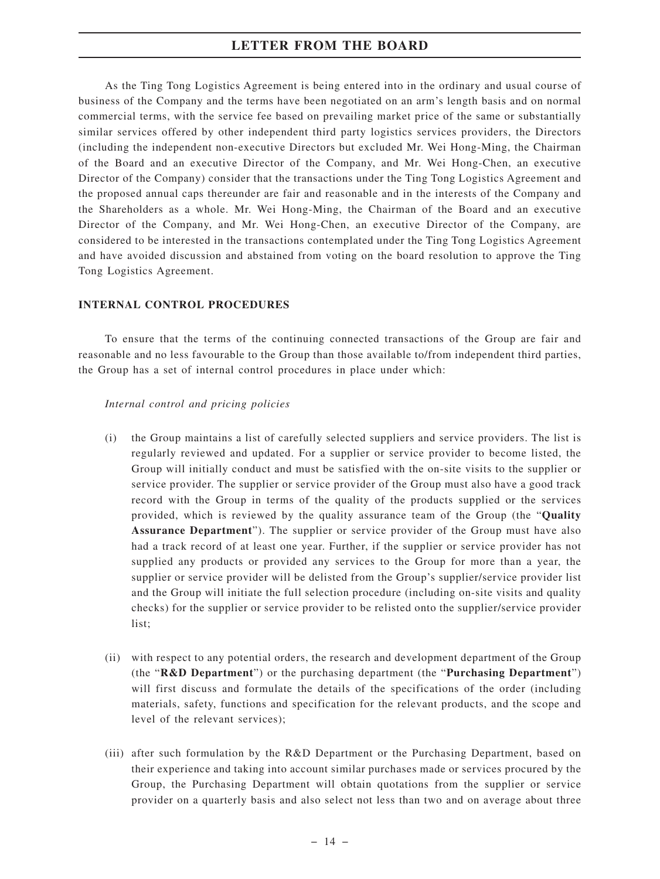As the Ting Tong Logistics Agreement is being entered into in the ordinary and usual course of business of the Company and the terms have been negotiated on an arm's length basis and on normal commercial terms, with the service fee based on prevailing market price of the same or substantially similar services offered by other independent third party logistics services providers, the Directors (including the independent non-executive Directors but excluded Mr. Wei Hong-Ming, the Chairman of the Board and an executive Director of the Company, and Mr. Wei Hong-Chen, an executive Director of the Company) consider that the transactions under the Ting Tong Logistics Agreement and the proposed annual caps thereunder are fair and reasonable and in the interests of the Company and the Shareholders as a whole. Mr. Wei Hong-Ming, the Chairman of the Board and an executive Director of the Company, and Mr. Wei Hong-Chen, an executive Director of the Company, are considered to be interested in the transactions contemplated under the Ting Tong Logistics Agreement and have avoided discussion and abstained from voting on the board resolution to approve the Ting Tong Logistics Agreement.

#### **INTERNAL CONTROL PROCEDURES**

To ensure that the terms of the continuing connected transactions of the Group are fair and reasonable and no less favourable to the Group than those available to/from independent third parties, the Group has a set of internal control procedures in place under which:

#### *Internal control and pricing policies*

- (i) the Group maintains a list of carefully selected suppliers and service providers. The list is regularly reviewed and updated. For a supplier or service provider to become listed, the Group will initially conduct and must be satisfied with the on-site visits to the supplier or service provider. The supplier or service provider of the Group must also have a good track record with the Group in terms of the quality of the products supplied or the services provided, which is reviewed by the quality assurance team of the Group (the "**Quality Assurance Department**"). The supplier or service provider of the Group must have also had a track record of at least one year. Further, if the supplier or service provider has not supplied any products or provided any services to the Group for more than a year, the supplier or service provider will be delisted from the Group's supplier/service provider list and the Group will initiate the full selection procedure (including on-site visits and quality checks) for the supplier or service provider to be relisted onto the supplier/service provider list;
- (ii) with respect to any potential orders, the research and development department of the Group (the "**R&D Department**") or the purchasing department (the "**Purchasing Department**") will first discuss and formulate the details of the specifications of the order (including materials, safety, functions and specification for the relevant products, and the scope and level of the relevant services);
- (iii) after such formulation by the R&D Department or the Purchasing Department, based on their experience and taking into account similar purchases made or services procured by the Group, the Purchasing Department will obtain quotations from the supplier or service provider on a quarterly basis and also select not less than two and on average about three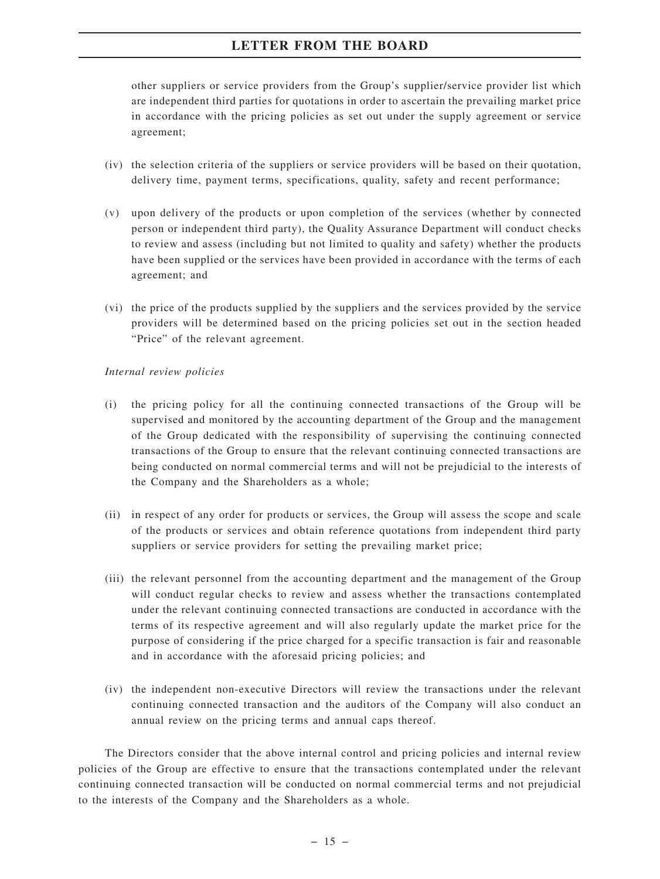other suppliers or service providers from the Group's supplier/service provider list which are independent third parties for quotations in order to ascertain the prevailing market price in accordance with the pricing policies as set out under the supply agreement or service agreement;

- (iv) the selection criteria of the suppliers or service providers will be based on their quotation, delivery time, payment terms, specifications, quality, safety and recent performance;
- (v) upon delivery of the products or upon completion of the services (whether by connected person or independent third party), the Quality Assurance Department will conduct checks to review and assess (including but not limited to quality and safety) whether the products have been supplied or the services have been provided in accordance with the terms of each agreement; and
- (vi) the price of the products supplied by the suppliers and the services provided by the service providers will be determined based on the pricing policies set out in the section headed "Price" of the relevant agreement.

## *Internal review policies*

- (i) the pricing policy for all the continuing connected transactions of the Group will be supervised and monitored by the accounting department of the Group and the management of the Group dedicated with the responsibility of supervising the continuing connected transactions of the Group to ensure that the relevant continuing connected transactions are being conducted on normal commercial terms and will not be prejudicial to the interests of the Company and the Shareholders as a whole;
- (ii) in respect of any order for products or services, the Group will assess the scope and scale of the products or services and obtain reference quotations from independent third party suppliers or service providers for setting the prevailing market price;
- (iii) the relevant personnel from the accounting department and the management of the Group will conduct regular checks to review and assess whether the transactions contemplated under the relevant continuing connected transactions are conducted in accordance with the terms of its respective agreement and will also regularly update the market price for the purpose of considering if the price charged for a specific transaction is fair and reasonable and in accordance with the aforesaid pricing policies; and
- (iv) the independent non-executive Directors will review the transactions under the relevant continuing connected transaction and the auditors of the Company will also conduct an annual review on the pricing terms and annual caps thereof.

The Directors consider that the above internal control and pricing policies and internal review policies of the Group are effective to ensure that the transactions contemplated under the relevant continuing connected transaction will be conducted on normal commercial terms and not prejudicial to the interests of the Company and the Shareholders as a whole.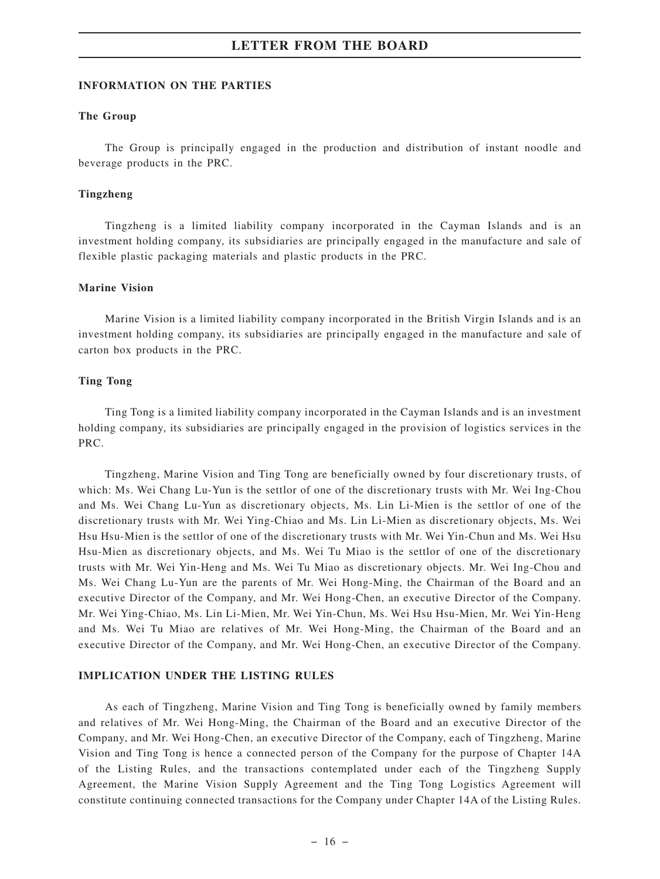#### **INFORMATION ON THE PARTIES**

#### **The Group**

The Group is principally engaged in the production and distribution of instant noodle and beverage products in the PRC.

#### **Tingzheng**

Tingzheng is a limited liability company incorporated in the Cayman Islands and is an investment holding company, its subsidiaries are principally engaged in the manufacture and sale of flexible plastic packaging materials and plastic products in the PRC.

#### **Marine Vision**

Marine Vision is a limited liability company incorporated in the British Virgin Islands and is an investment holding company, its subsidiaries are principally engaged in the manufacture and sale of carton box products in the PRC.

#### **Ting Tong**

Ting Tong is a limited liability company incorporated in the Cayman Islands and is an investment holding company, its subsidiaries are principally engaged in the provision of logistics services in the PRC.

Tingzheng, Marine Vision and Ting Tong are beneficially owned by four discretionary trusts, of which: Ms. Wei Chang Lu-Yun is the settlor of one of the discretionary trusts with Mr. Wei Ing-Chou and Ms. Wei Chang Lu-Yun as discretionary objects, Ms. Lin Li-Mien is the settlor of one of the discretionary trusts with Mr. Wei Ying-Chiao and Ms. Lin Li-Mien as discretionary objects, Ms. Wei Hsu Hsu-Mien is the settlor of one of the discretionary trusts with Mr. Wei Yin-Chun and Ms. Wei Hsu Hsu-Mien as discretionary objects, and Ms. Wei Tu Miao is the settlor of one of the discretionary trusts with Mr. Wei Yin-Heng and Ms. Wei Tu Miao as discretionary objects. Mr. Wei Ing-Chou and Ms. Wei Chang Lu-Yun are the parents of Mr. Wei Hong-Ming, the Chairman of the Board and an executive Director of the Company, and Mr. Wei Hong-Chen, an executive Director of the Company. Mr. Wei Ying-Chiao, Ms. Lin Li-Mien, Mr. Wei Yin-Chun, Ms. Wei Hsu Hsu-Mien, Mr. Wei Yin-Heng and Ms. Wei Tu Miao are relatives of Mr. Wei Hong-Ming, the Chairman of the Board and an executive Director of the Company, and Mr. Wei Hong-Chen, an executive Director of the Company.

#### **IMPLICATION UNDER THE LISTING RULES**

As each of Tingzheng, Marine Vision and Ting Tong is beneficially owned by family members and relatives of Mr. Wei Hong-Ming, the Chairman of the Board and an executive Director of the Company, and Mr. Wei Hong-Chen, an executive Director of the Company, each of Tingzheng, Marine Vision and Ting Tong is hence a connected person of the Company for the purpose of Chapter 14A of the Listing Rules, and the transactions contemplated under each of the Tingzheng Supply Agreement, the Marine Vision Supply Agreement and the Ting Tong Logistics Agreement will constitute continuing connected transactions for the Company under Chapter 14A of the Listing Rules.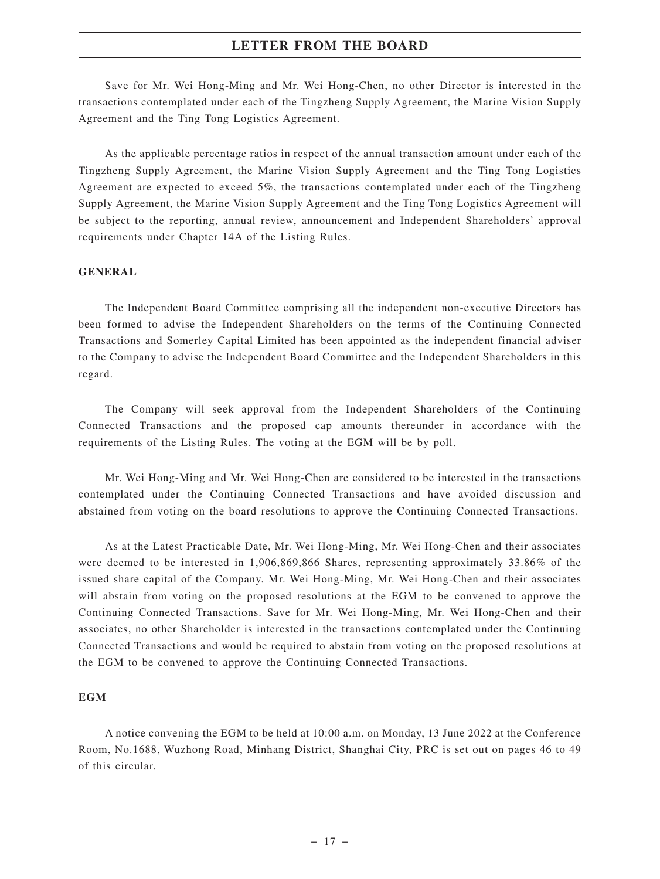Save for Mr. Wei Hong-Ming and Mr. Wei Hong-Chen, no other Director is interested in the transactions contemplated under each of the Tingzheng Supply Agreement, the Marine Vision Supply Agreement and the Ting Tong Logistics Agreement.

As the applicable percentage ratios in respect of the annual transaction amount under each of the Tingzheng Supply Agreement, the Marine Vision Supply Agreement and the Ting Tong Logistics Agreement are expected to exceed 5%, the transactions contemplated under each of the Tingzheng Supply Agreement, the Marine Vision Supply Agreement and the Ting Tong Logistics Agreement will be subject to the reporting, annual review, announcement and Independent Shareholders' approval requirements under Chapter 14A of the Listing Rules.

#### **GENERAL**

The Independent Board Committee comprising all the independent non-executive Directors has been formed to advise the Independent Shareholders on the terms of the Continuing Connected Transactions and Somerley Capital Limited has been appointed as the independent financial adviser to the Company to advise the Independent Board Committee and the Independent Shareholders in this regard.

The Company will seek approval from the Independent Shareholders of the Continuing Connected Transactions and the proposed cap amounts thereunder in accordance with the requirements of the Listing Rules. The voting at the EGM will be by poll.

Mr. Wei Hong-Ming and Mr. Wei Hong-Chen are considered to be interested in the transactions contemplated under the Continuing Connected Transactions and have avoided discussion and abstained from voting on the board resolutions to approve the Continuing Connected Transactions.

As at the Latest Practicable Date, Mr. Wei Hong-Ming, Mr. Wei Hong-Chen and their associates were deemed to be interested in 1,906,869,866 Shares, representing approximately 33.86% of the issued share capital of the Company. Mr. Wei Hong-Ming, Mr. Wei Hong-Chen and their associates will abstain from voting on the proposed resolutions at the EGM to be convened to approve the Continuing Connected Transactions. Save for Mr. Wei Hong-Ming, Mr. Wei Hong-Chen and their associates, no other Shareholder is interested in the transactions contemplated under the Continuing Connected Transactions and would be required to abstain from voting on the proposed resolutions at the EGM to be convened to approve the Continuing Connected Transactions.

## **EGM**

A notice convening the EGM to be held at 10:00 a.m. on Monday, 13 June 2022 at the Conference Room, No.1688, Wuzhong Road, Minhang District, Shanghai City, PRC is set out on pages 46 to 49 of this circular.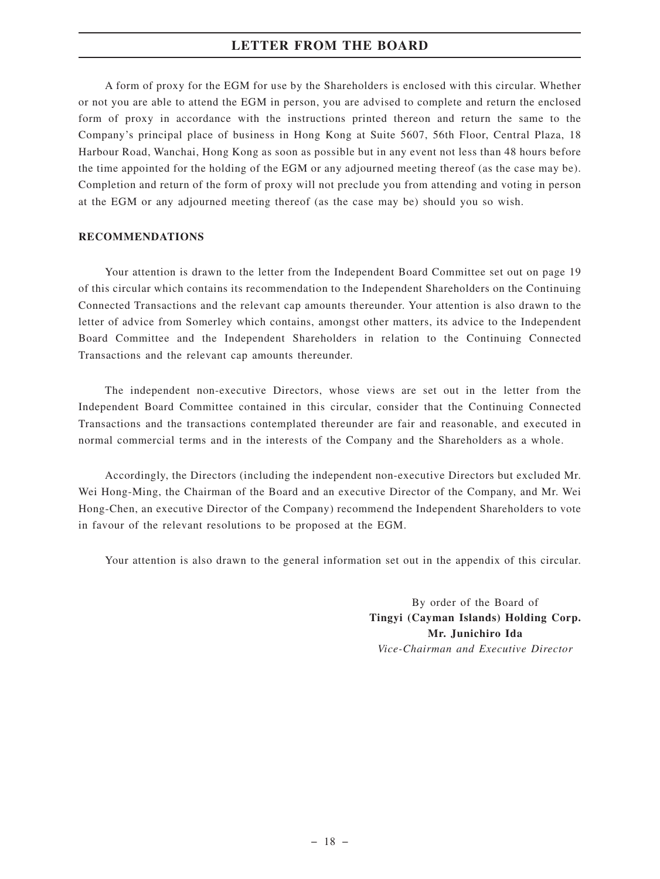A form of proxy for the EGM for use by the Shareholders is enclosed with this circular. Whether or not you are able to attend the EGM in person, you are advised to complete and return the enclosed form of proxy in accordance with the instructions printed thereon and return the same to the Company's principal place of business in Hong Kong at Suite 5607, 56th Floor, Central Plaza, 18 Harbour Road, Wanchai, Hong Kong as soon as possible but in any event not less than 48 hours before the time appointed for the holding of the EGM or any adjourned meeting thereof (as the case may be). Completion and return of the form of proxy will not preclude you from attending and voting in person at the EGM or any adjourned meeting thereof (as the case may be) should you so wish.

#### **RECOMMENDATIONS**

Your attention is drawn to the letter from the Independent Board Committee set out on page 19 of this circular which contains its recommendation to the Independent Shareholders on the Continuing Connected Transactions and the relevant cap amounts thereunder. Your attention is also drawn to the letter of advice from Somerley which contains, amongst other matters, its advice to the Independent Board Committee and the Independent Shareholders in relation to the Continuing Connected Transactions and the relevant cap amounts thereunder.

The independent non-executive Directors, whose views are set out in the letter from the Independent Board Committee contained in this circular, consider that the Continuing Connected Transactions and the transactions contemplated thereunder are fair and reasonable, and executed in normal commercial terms and in the interests of the Company and the Shareholders as a whole.

Accordingly, the Directors (including the independent non-executive Directors but excluded Mr. Wei Hong-Ming, the Chairman of the Board and an executive Director of the Company, and Mr. Wei Hong-Chen, an executive Director of the Company) recommend the Independent Shareholders to vote in favour of the relevant resolutions to be proposed at the EGM.

Your attention is also drawn to the general information set out in the appendix of this circular.

By order of the Board of **Tingyi (Cayman Islands) Holding Corp. Mr. Junichiro Ida** *Vice-Chairman and Executive Director*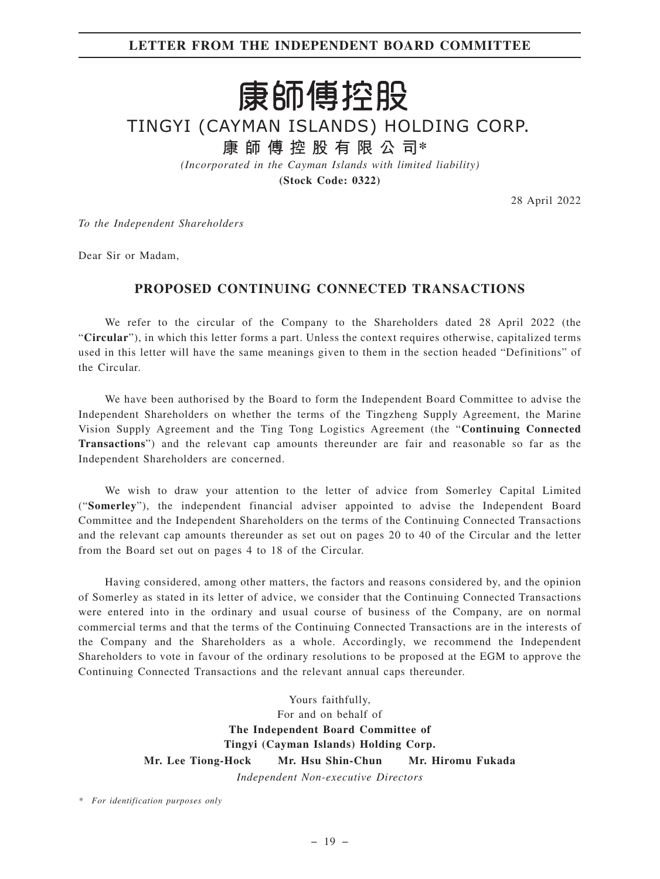# **LETTER FROM THE INDEPENDENT BOARD COMMITTEE**

# 康師傅控股

TINGYI (CAYMAN ISLANDS) HOLDING CORP.

**康師傅控股有限公司\***

*(Incorporated in the Cayman Islands with limited liability)*

**(Stock Code: 0322)**

28 April 2022

*To the Independent Shareholders*

Dear Sir or Madam,

# **PROPOSED CONTINUING CONNECTED TRANSACTIONS**

We refer to the circular of the Company to the Shareholders dated 28 April 2022 (the "**Circular**"), in which this letter forms a part. Unless the context requires otherwise, capitalized terms used in this letter will have the same meanings given to them in the section headed "Definitions" of the Circular.

We have been authorised by the Board to form the Independent Board Committee to advise the Independent Shareholders on whether the terms of the Tingzheng Supply Agreement, the Marine Vision Supply Agreement and the Ting Tong Logistics Agreement (the "**Continuing Connected Transactions**") and the relevant cap amounts thereunder are fair and reasonable so far as the Independent Shareholders are concerned.

We wish to draw your attention to the letter of advice from Somerley Capital Limited ("**Somerley**"), the independent financial adviser appointed to advise the Independent Board Committee and the Independent Shareholders on the terms of the Continuing Connected Transactions and the relevant cap amounts thereunder as set out on pages 20 to 40 of the Circular and the letter from the Board set out on pages 4 to 18 of the Circular.

Having considered, among other matters, the factors and reasons considered by, and the opinion of Somerley as stated in its letter of advice, we consider that the Continuing Connected Transactions were entered into in the ordinary and usual course of business of the Company, are on normal commercial terms and that the terms of the Continuing Connected Transactions are in the interests of the Company and the Shareholders as a whole. Accordingly, we recommend the Independent Shareholders to vote in favour of the ordinary resolutions to be proposed at the EGM to approve the Continuing Connected Transactions and the relevant annual caps thereunder.

> Yours faithfully, For and on behalf of **The Independent Board Committee of Tingyi (Cayman Islands) Holding Corp. Mr. Lee Tiong-Hock Mr. Hsu Shin-Chun Mr. Hiromu Fukada** *Independent Non-executive Directors*

*\* For identification purposes only*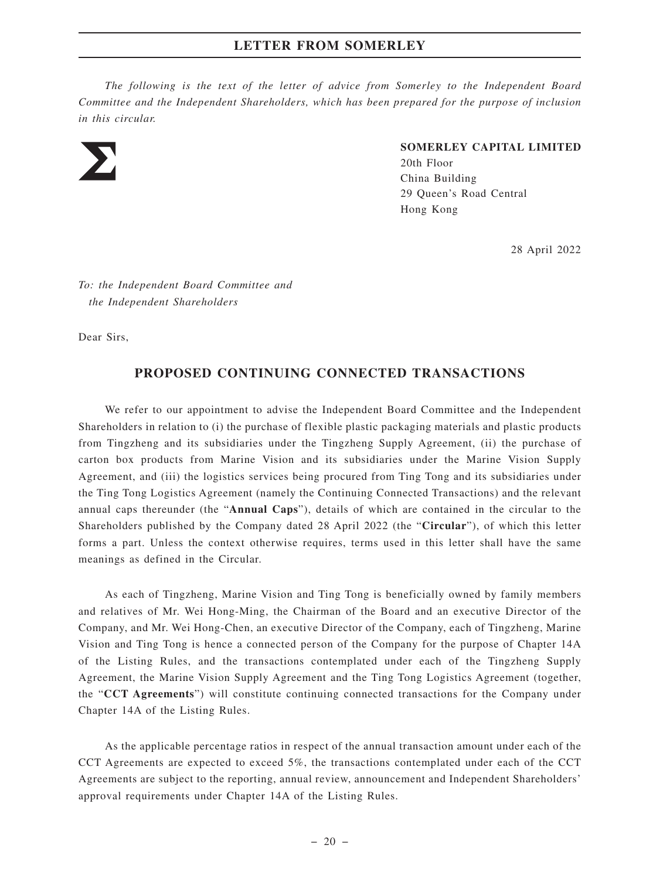*The following is the text of the letter of advice from Somerley to the Independent Board Committee and the Independent Shareholders, which has been prepared for the purpose of inclusion in this circular.*



#### **SOMERLEY CAPITAL LIMITED**

20th Floor China Building 29 Queen's Road Central Hong Kong

28 April 2022

*To: the Independent Board Committee and the Independent Shareholders*

Dear Sirs,

# **PROPOSED CONTINUING CONNECTED TRANSACTIONS**

We refer to our appointment to advise the Independent Board Committee and the Independent Shareholders in relation to (i) the purchase of flexible plastic packaging materials and plastic products from Tingzheng and its subsidiaries under the Tingzheng Supply Agreement, (ii) the purchase of carton box products from Marine Vision and its subsidiaries under the Marine Vision Supply Agreement, and (iii) the logistics services being procured from Ting Tong and its subsidiaries under the Ting Tong Logistics Agreement (namely the Continuing Connected Transactions) and the relevant annual caps thereunder (the "**Annual Caps**"), details of which are contained in the circular to the Shareholders published by the Company dated 28 April 2022 (the "**Circular**"), of which this letter forms a part. Unless the context otherwise requires, terms used in this letter shall have the same meanings as defined in the Circular.

As each of Tingzheng, Marine Vision and Ting Tong is beneficially owned by family members and relatives of Mr. Wei Hong-Ming, the Chairman of the Board and an executive Director of the Company, and Mr. Wei Hong-Chen, an executive Director of the Company, each of Tingzheng, Marine Vision and Ting Tong is hence a connected person of the Company for the purpose of Chapter 14A of the Listing Rules, and the transactions contemplated under each of the Tingzheng Supply Agreement, the Marine Vision Supply Agreement and the Ting Tong Logistics Agreement (together, the "**CCT Agreements**") will constitute continuing connected transactions for the Company under Chapter 14A of the Listing Rules.

As the applicable percentage ratios in respect of the annual transaction amount under each of the CCT Agreements are expected to exceed 5%, the transactions contemplated under each of the CCT Agreements are subject to the reporting, annual review, announcement and Independent Shareholders' approval requirements under Chapter 14A of the Listing Rules.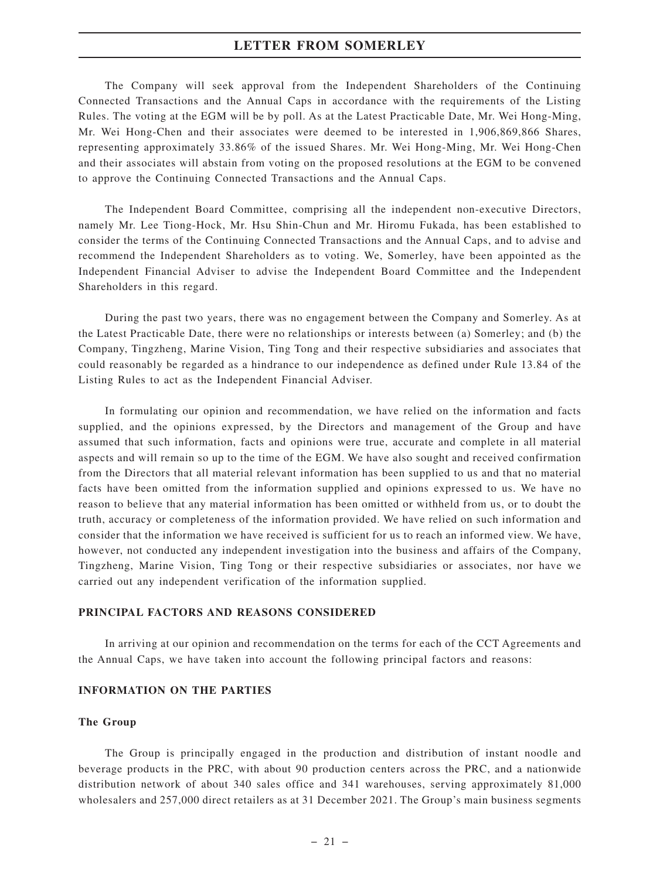The Company will seek approval from the Independent Shareholders of the Continuing Connected Transactions and the Annual Caps in accordance with the requirements of the Listing Rules. The voting at the EGM will be by poll. As at the Latest Practicable Date, Mr. Wei Hong-Ming, Mr. Wei Hong-Chen and their associates were deemed to be interested in 1,906,869,866 Shares, representing approximately 33.86% of the issued Shares. Mr. Wei Hong-Ming, Mr. Wei Hong-Chen and their associates will abstain from voting on the proposed resolutions at the EGM to be convened to approve the Continuing Connected Transactions and the Annual Caps.

The Independent Board Committee, comprising all the independent non-executive Directors, namely Mr. Lee Tiong-Hock, Mr. Hsu Shin-Chun and Mr. Hiromu Fukada, has been established to consider the terms of the Continuing Connected Transactions and the Annual Caps, and to advise and recommend the Independent Shareholders as to voting. We, Somerley, have been appointed as the Independent Financial Adviser to advise the Independent Board Committee and the Independent Shareholders in this regard.

During the past two years, there was no engagement between the Company and Somerley. As at the Latest Practicable Date, there were no relationships or interests between (a) Somerley; and (b) the Company, Tingzheng, Marine Vision, Ting Tong and their respective subsidiaries and associates that could reasonably be regarded as a hindrance to our independence as defined under Rule 13.84 of the Listing Rules to act as the Independent Financial Adviser.

In formulating our opinion and recommendation, we have relied on the information and facts supplied, and the opinions expressed, by the Directors and management of the Group and have assumed that such information, facts and opinions were true, accurate and complete in all material aspects and will remain so up to the time of the EGM. We have also sought and received confirmation from the Directors that all material relevant information has been supplied to us and that no material facts have been omitted from the information supplied and opinions expressed to us. We have no reason to believe that any material information has been omitted or withheld from us, or to doubt the truth, accuracy or completeness of the information provided. We have relied on such information and consider that the information we have received is sufficient for us to reach an informed view. We have, however, not conducted any independent investigation into the business and affairs of the Company, Tingzheng, Marine Vision, Ting Tong or their respective subsidiaries or associates, nor have we carried out any independent verification of the information supplied.

#### **PRINCIPAL FACTORS AND REASONS CONSIDERED**

In arriving at our opinion and recommendation on the terms for each of the CCT Agreements and the Annual Caps, we have taken into account the following principal factors and reasons:

#### **INFORMATION ON THE PARTIES**

#### **The Group**

The Group is principally engaged in the production and distribution of instant noodle and beverage products in the PRC, with about 90 production centers across the PRC, and a nationwide distribution network of about 340 sales office and 341 warehouses, serving approximately 81,000 wholesalers and 257,000 direct retailers as at 31 December 2021. The Group's main business segments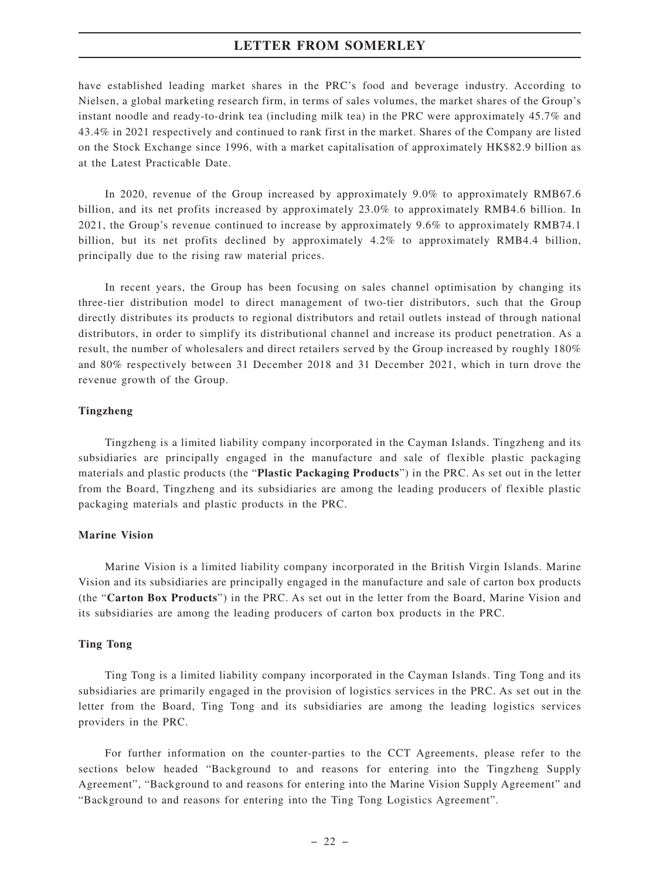have established leading market shares in the PRC's food and beverage industry. According to Nielsen, a global marketing research firm, in terms of sales volumes, the market shares of the Group's instant noodle and ready-to-drink tea (including milk tea) in the PRC were approximately 45.7% and 43.4% in 2021 respectively and continued to rank first in the market. Shares of the Company are listed on the Stock Exchange since 1996, with a market capitalisation of approximately HK\$82.9 billion as at the Latest Practicable Date.

In 2020, revenue of the Group increased by approximately 9.0% to approximately RMB67.6 billion, and its net profits increased by approximately 23.0% to approximately RMB4.6 billion. In 2021, the Group's revenue continued to increase by approximately 9.6% to approximately RMB74.1 billion, but its net profits declined by approximately 4.2% to approximately RMB4.4 billion, principally due to the rising raw material prices.

In recent years, the Group has been focusing on sales channel optimisation by changing its three-tier distribution model to direct management of two-tier distributors, such that the Group directly distributes its products to regional distributors and retail outlets instead of through national distributors, in order to simplify its distributional channel and increase its product penetration. As a result, the number of wholesalers and direct retailers served by the Group increased by roughly 180% and 80% respectively between 31 December 2018 and 31 December 2021, which in turn drove the revenue growth of the Group.

#### **Tingzheng**

Tingzheng is a limited liability company incorporated in the Cayman Islands. Tingzheng and its subsidiaries are principally engaged in the manufacture and sale of flexible plastic packaging materials and plastic products (the "**Plastic Packaging Products**") in the PRC. As set out in the letter from the Board, Tingzheng and its subsidiaries are among the leading producers of flexible plastic packaging materials and plastic products in the PRC.

#### **Marine Vision**

Marine Vision is a limited liability company incorporated in the British Virgin Islands. Marine Vision and its subsidiaries are principally engaged in the manufacture and sale of carton box products (the "**Carton Box Products**") in the PRC. As set out in the letter from the Board, Marine Vision and its subsidiaries are among the leading producers of carton box products in the PRC.

#### **Ting Tong**

Ting Tong is a limited liability company incorporated in the Cayman Islands. Ting Tong and its subsidiaries are primarily engaged in the provision of logistics services in the PRC. As set out in the letter from the Board, Ting Tong and its subsidiaries are among the leading logistics services providers in the PRC.

For further information on the counter-parties to the CCT Agreements, please refer to the sections below headed "Background to and reasons for entering into the Tingzheng Supply Agreement", "Background to and reasons for entering into the Marine Vision Supply Agreement" and "Background to and reasons for entering into the Ting Tong Logistics Agreement".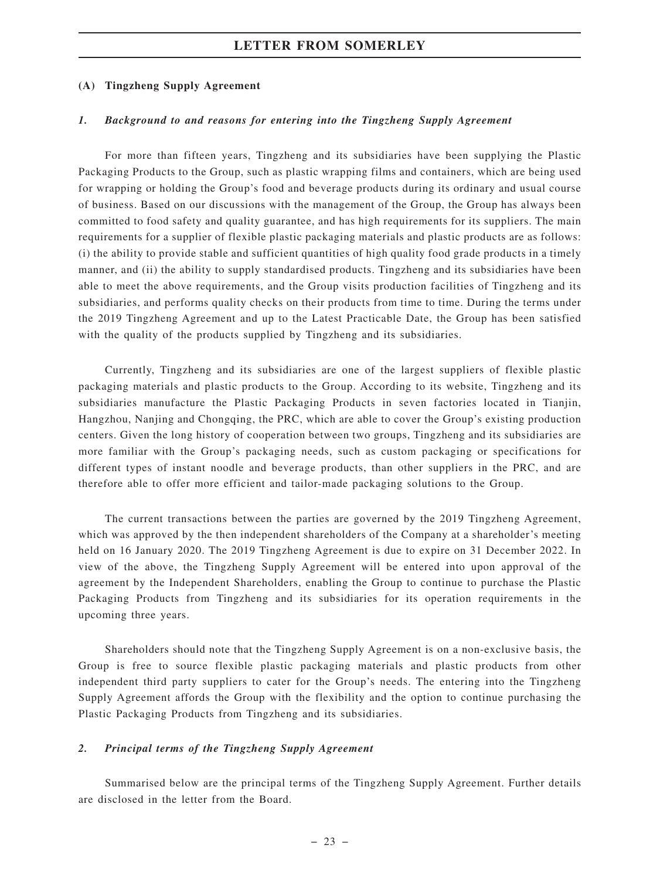#### **(A) Tingzheng Supply Agreement**

#### *1. Background to and reasons for entering into the Tingzheng Supply Agreement*

For more than fifteen years, Tingzheng and its subsidiaries have been supplying the Plastic Packaging Products to the Group, such as plastic wrapping films and containers, which are being used for wrapping or holding the Group's food and beverage products during its ordinary and usual course of business. Based on our discussions with the management of the Group, the Group has always been committed to food safety and quality guarantee, and has high requirements for its suppliers. The main requirements for a supplier of flexible plastic packaging materials and plastic products are as follows: (i) the ability to provide stable and sufficient quantities of high quality food grade products in a timely manner, and (ii) the ability to supply standardised products. Tingzheng and its subsidiaries have been able to meet the above requirements, and the Group visits production facilities of Tingzheng and its subsidiaries, and performs quality checks on their products from time to time. During the terms under the 2019 Tingzheng Agreement and up to the Latest Practicable Date, the Group has been satisfied with the quality of the products supplied by Tingzheng and its subsidiaries.

Currently, Tingzheng and its subsidiaries are one of the largest suppliers of flexible plastic packaging materials and plastic products to the Group. According to its website, Tingzheng and its subsidiaries manufacture the Plastic Packaging Products in seven factories located in Tianjin, Hangzhou, Nanjing and Chongqing, the PRC, which are able to cover the Group's existing production centers. Given the long history of cooperation between two groups, Tingzheng and its subsidiaries are more familiar with the Group's packaging needs, such as custom packaging or specifications for different types of instant noodle and beverage products, than other suppliers in the PRC, and are therefore able to offer more efficient and tailor-made packaging solutions to the Group.

The current transactions between the parties are governed by the 2019 Tingzheng Agreement, which was approved by the then independent shareholders of the Company at a shareholder's meeting held on 16 January 2020. The 2019 Tingzheng Agreement is due to expire on 31 December 2022. In view of the above, the Tingzheng Supply Agreement will be entered into upon approval of the agreement by the Independent Shareholders, enabling the Group to continue to purchase the Plastic Packaging Products from Tingzheng and its subsidiaries for its operation requirements in the upcoming three years.

Shareholders should note that the Tingzheng Supply Agreement is on a non-exclusive basis, the Group is free to source flexible plastic packaging materials and plastic products from other independent third party suppliers to cater for the Group's needs. The entering into the Tingzheng Supply Agreement affords the Group with the flexibility and the option to continue purchasing the Plastic Packaging Products from Tingzheng and its subsidiaries.

#### *2. Principal terms of the Tingzheng Supply Agreement*

Summarised below are the principal terms of the Tingzheng Supply Agreement. Further details are disclosed in the letter from the Board.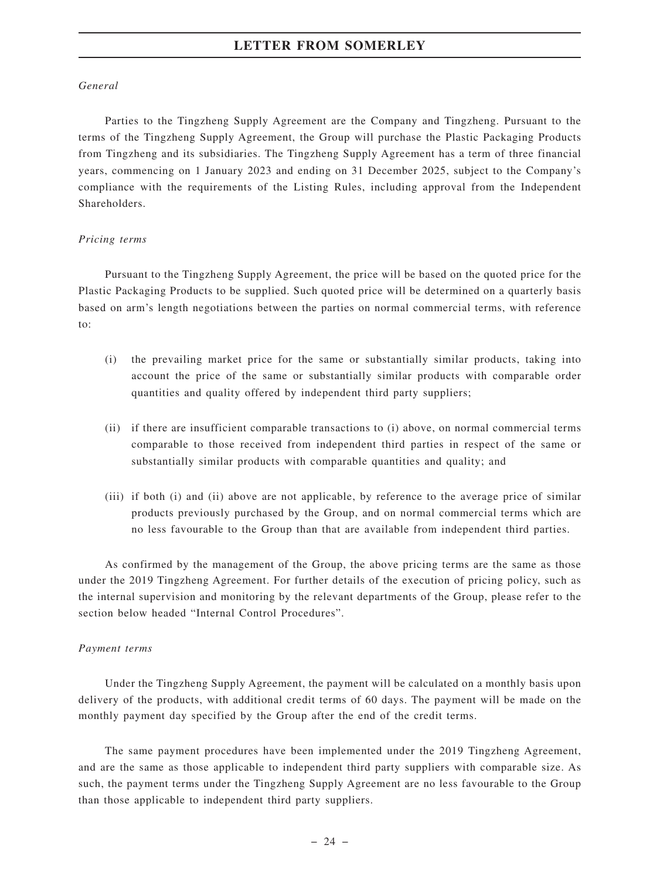#### *General*

Parties to the Tingzheng Supply Agreement are the Company and Tingzheng. Pursuant to the terms of the Tingzheng Supply Agreement, the Group will purchase the Plastic Packaging Products from Tingzheng and its subsidiaries. The Tingzheng Supply Agreement has a term of three financial years, commencing on 1 January 2023 and ending on 31 December 2025, subject to the Company's compliance with the requirements of the Listing Rules, including approval from the Independent Shareholders.

#### *Pricing terms*

Pursuant to the Tingzheng Supply Agreement, the price will be based on the quoted price for the Plastic Packaging Products to be supplied. Such quoted price will be determined on a quarterly basis based on arm's length negotiations between the parties on normal commercial terms, with reference to:

- (i) the prevailing market price for the same or substantially similar products, taking into account the price of the same or substantially similar products with comparable order quantities and quality offered by independent third party suppliers;
- (ii) if there are insufficient comparable transactions to (i) above, on normal commercial terms comparable to those received from independent third parties in respect of the same or substantially similar products with comparable quantities and quality; and
- (iii) if both (i) and (ii) above are not applicable, by reference to the average price of similar products previously purchased by the Group, and on normal commercial terms which are no less favourable to the Group than that are available from independent third parties.

As confirmed by the management of the Group, the above pricing terms are the same as those under the 2019 Tingzheng Agreement. For further details of the execution of pricing policy, such as the internal supervision and monitoring by the relevant departments of the Group, please refer to the section below headed "Internal Control Procedures".

#### *Payment terms*

Under the Tingzheng Supply Agreement, the payment will be calculated on a monthly basis upon delivery of the products, with additional credit terms of 60 days. The payment will be made on the monthly payment day specified by the Group after the end of the credit terms.

The same payment procedures have been implemented under the 2019 Tingzheng Agreement, and are the same as those applicable to independent third party suppliers with comparable size. As such, the payment terms under the Tingzheng Supply Agreement are no less favourable to the Group than those applicable to independent third party suppliers.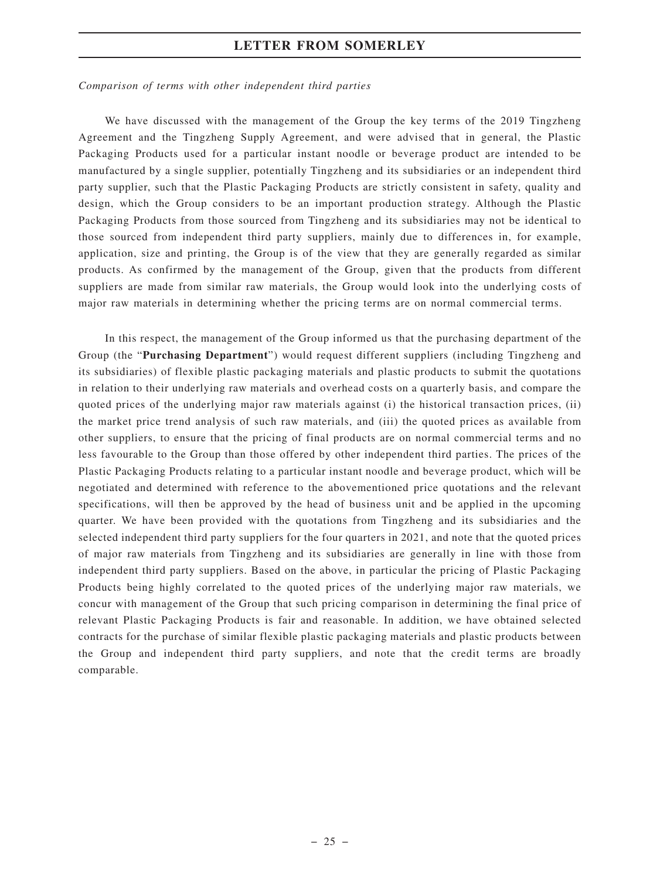#### *Comparison of terms with other independent third parties*

We have discussed with the management of the Group the key terms of the 2019 Tingzheng Agreement and the Tingzheng Supply Agreement, and were advised that in general, the Plastic Packaging Products used for a particular instant noodle or beverage product are intended to be manufactured by a single supplier, potentially Tingzheng and its subsidiaries or an independent third party supplier, such that the Plastic Packaging Products are strictly consistent in safety, quality and design, which the Group considers to be an important production strategy. Although the Plastic Packaging Products from those sourced from Tingzheng and its subsidiaries may not be identical to those sourced from independent third party suppliers, mainly due to differences in, for example, application, size and printing, the Group is of the view that they are generally regarded as similar products. As confirmed by the management of the Group, given that the products from different suppliers are made from similar raw materials, the Group would look into the underlying costs of major raw materials in determining whether the pricing terms are on normal commercial terms.

In this respect, the management of the Group informed us that the purchasing department of the Group (the "**Purchasing Department**") would request different suppliers (including Tingzheng and its subsidiaries) of flexible plastic packaging materials and plastic products to submit the quotations in relation to their underlying raw materials and overhead costs on a quarterly basis, and compare the quoted prices of the underlying major raw materials against (i) the historical transaction prices, (ii) the market price trend analysis of such raw materials, and (iii) the quoted prices as available from other suppliers, to ensure that the pricing of final products are on normal commercial terms and no less favourable to the Group than those offered by other independent third parties. The prices of the Plastic Packaging Products relating to a particular instant noodle and beverage product, which will be negotiated and determined with reference to the abovementioned price quotations and the relevant specifications, will then be approved by the head of business unit and be applied in the upcoming quarter. We have been provided with the quotations from Tingzheng and its subsidiaries and the selected independent third party suppliers for the four quarters in 2021, and note that the quoted prices of major raw materials from Tingzheng and its subsidiaries are generally in line with those from independent third party suppliers. Based on the above, in particular the pricing of Plastic Packaging Products being highly correlated to the quoted prices of the underlying major raw materials, we concur with management of the Group that such pricing comparison in determining the final price of relevant Plastic Packaging Products is fair and reasonable. In addition, we have obtained selected contracts for the purchase of similar flexible plastic packaging materials and plastic products between the Group and independent third party suppliers, and note that the credit terms are broadly comparable.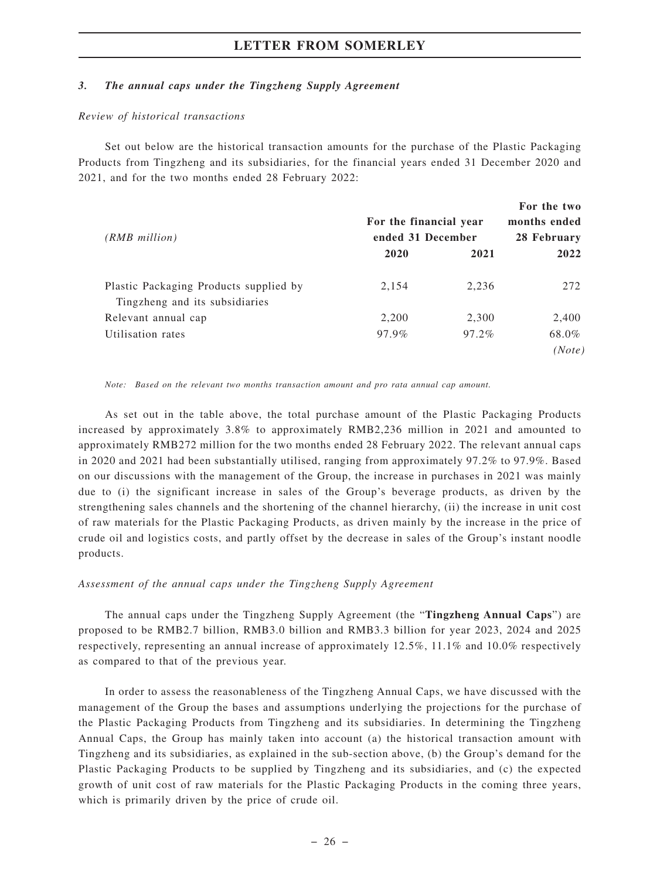#### *3. The annual caps under the Tingzheng Supply Agreement*

#### *Review of historical transactions*

Set out below are the historical transaction amounts for the purchase of the Plastic Packaging Products from Tingzheng and its subsidiaries, for the financial years ended 31 December 2020 and 2021, and for the two months ended 28 February 2022:

| $(RMB$ million)                                                          | For the financial year<br>ended 31 December |       | For the two<br>months ended<br>28 February |
|--------------------------------------------------------------------------|---------------------------------------------|-------|--------------------------------------------|
|                                                                          | 2020                                        | 2021  | 2022                                       |
| Plastic Packaging Products supplied by<br>Tingzheng and its subsidiaries | 2,154                                       | 2,236 | 272                                        |
| Relevant annual cap                                                      | 2,200                                       | 2,300 | 2,400                                      |
| Utilisation rates                                                        | 97.9%                                       | 97.2% | 68.0%<br>(Note)                            |

*Note: Based on the relevant two months transaction amount and pro rata annual cap amount.*

As set out in the table above, the total purchase amount of the Plastic Packaging Products increased by approximately 3.8% to approximately RMB2,236 million in 2021 and amounted to approximately RMB272 million for the two months ended 28 February 2022. The relevant annual caps in 2020 and 2021 had been substantially utilised, ranging from approximately 97.2% to 97.9%. Based on our discussions with the management of the Group, the increase in purchases in 2021 was mainly due to (i) the significant increase in sales of the Group's beverage products, as driven by the strengthening sales channels and the shortening of the channel hierarchy, (ii) the increase in unit cost of raw materials for the Plastic Packaging Products, as driven mainly by the increase in the price of crude oil and logistics costs, and partly offset by the decrease in sales of the Group's instant noodle products.

#### *Assessment of the annual caps under the Tingzheng Supply Agreement*

The annual caps under the Tingzheng Supply Agreement (the "**Tingzheng Annual Caps**") are proposed to be RMB2.7 billion, RMB3.0 billion and RMB3.3 billion for year 2023, 2024 and 2025 respectively, representing an annual increase of approximately 12.5%, 11.1% and 10.0% respectively as compared to that of the previous year.

In order to assess the reasonableness of the Tingzheng Annual Caps, we have discussed with the management of the Group the bases and assumptions underlying the projections for the purchase of the Plastic Packaging Products from Tingzheng and its subsidiaries. In determining the Tingzheng Annual Caps, the Group has mainly taken into account (a) the historical transaction amount with Tingzheng and its subsidiaries, as explained in the sub-section above, (b) the Group's demand for the Plastic Packaging Products to be supplied by Tingzheng and its subsidiaries, and (c) the expected growth of unit cost of raw materials for the Plastic Packaging Products in the coming three years, which is primarily driven by the price of crude oil.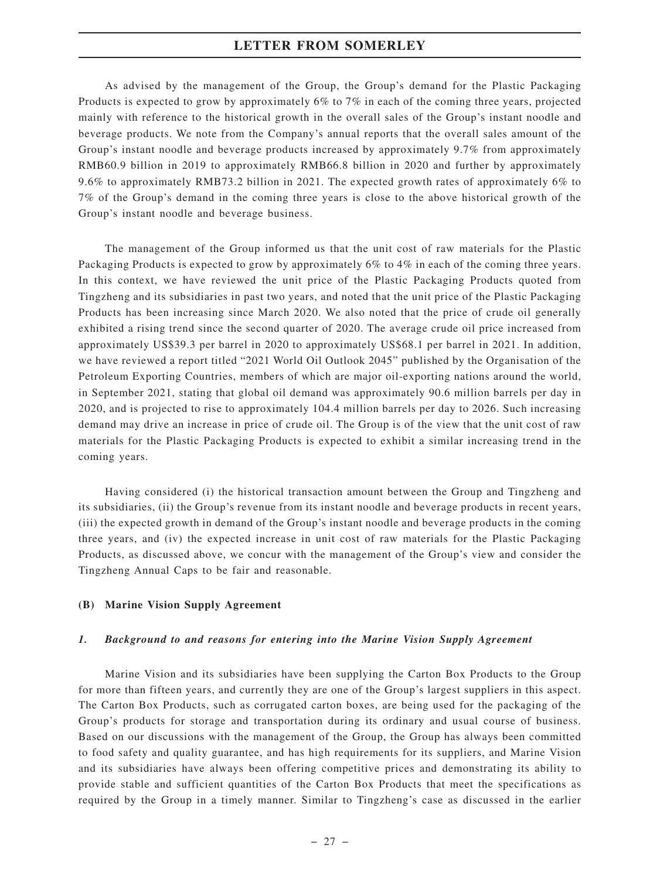As advised by the management of the Group, the Group's demand for the Plastic Packaging Products is expected to grow by approximately 6% to 7% in each of the coming three years, projected mainly with reference to the historical growth in the overall sales of the Group's instant noodle and beverage products. We note from the Company's annual reports that the overall sales amount of the Group's instant noodle and beverage products increased by approximately 9.7% from approximately RMB60.9 billion in 2019 to approximately RMB66.8 billion in 2020 and further by approximately 9.6% to approximately RMB73.2 billion in 2021. The expected growth rates of approximately 6% to 7% of the Group's demand in the coming three years is close to the above historical growth of the Group's instant noodle and beverage business.

The management of the Group informed us that the unit cost of raw materials for the Plastic Packaging Products is expected to grow by approximately 6% to 4% in each of the coming three years. In this context, we have reviewed the unit price of the Plastic Packaging Products quoted from Tingzheng and its subsidiaries in past two years, and noted that the unit price of the Plastic Packaging Products has been increasing since March 2020. We also noted that the price of crude oil generally exhibited a rising trend since the second quarter of 2020. The average crude oil price increased from approximately US\$39.3 per barrel in 2020 to approximately US\$68.1 per barrel in 2021. In addition, we have reviewed a report titled "2021 World Oil Outlook 2045" published by the Organisation of the Petroleum Exporting Countries, members of which are major oil-exporting nations around the world, in September 2021, stating that global oil demand was approximately 90.6 million barrels per day in 2020, and is projected to rise to approximately 104.4 million barrels per day to 2026. Such increasing demand may drive an increase in price of crude oil. The Group is of the view that the unit cost of raw materials for the Plastic Packaging Products is expected to exhibit a similar increasing trend in the coming years.

Having considered (i) the historical transaction amount between the Group and Tingzheng and its subsidiaries, (ii) the Group's revenue from its instant noodle and beverage products in recent years, (iii) the expected growth in demand of the Group's instant noodle and beverage products in the coming three years, and (iv) the expected increase in unit cost of raw materials for the Plastic Packaging Products, as discussed above, we concur with the management of the Group's view and consider the Tingzheng Annual Caps to be fair and reasonable.

#### **(B) Marine Vision Supply Agreement**

#### *1. Background to and reasons for entering into the Marine Vision Supply Agreement*

Marine Vision and its subsidiaries have been supplying the Carton Box Products to the Group for more than fifteen years, and currently they are one of the Group's largest suppliers in this aspect. The Carton Box Products, such as corrugated carton boxes, are being used for the packaging of the Group's products for storage and transportation during its ordinary and usual course of business. Based on our discussions with the management of the Group, the Group has always been committed to food safety and quality guarantee, and has high requirements for its suppliers, and Marine Vision and its subsidiaries have always been offering competitive prices and demonstrating its ability to provide stable and sufficient quantities of the Carton Box Products that meet the specifications as required by the Group in a timely manner. Similar to Tingzheng's case as discussed in the earlier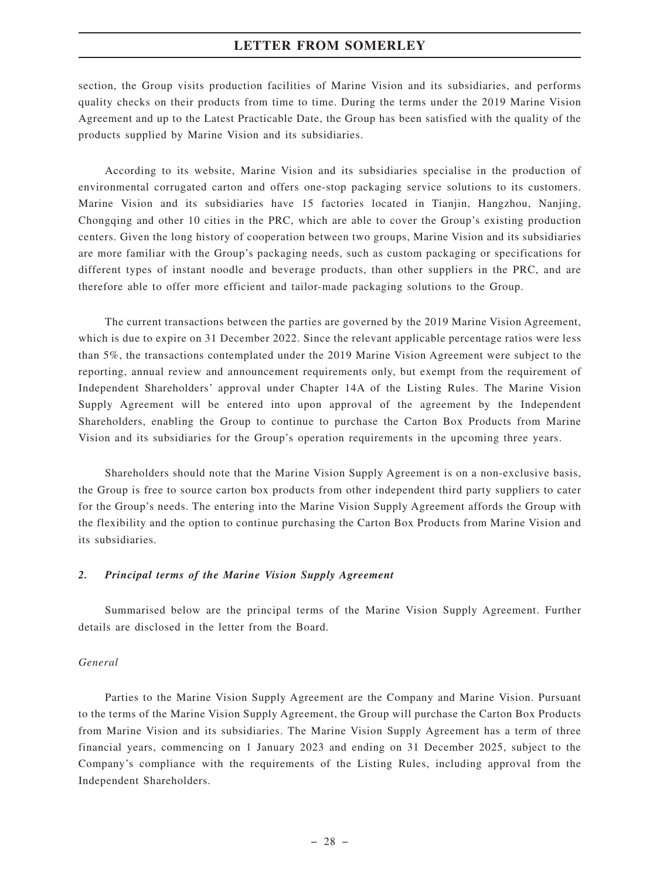section, the Group visits production facilities of Marine Vision and its subsidiaries, and performs quality checks on their products from time to time. During the terms under the 2019 Marine Vision Agreement and up to the Latest Practicable Date, the Group has been satisfied with the quality of the products supplied by Marine Vision and its subsidiaries.

According to its website, Marine Vision and its subsidiaries specialise in the production of environmental corrugated carton and offers one-stop packaging service solutions to its customers. Marine Vision and its subsidiaries have 15 factories located in Tianjin, Hangzhou, Nanjing, Chongqing and other 10 cities in the PRC, which are able to cover the Group's existing production centers. Given the long history of cooperation between two groups, Marine Vision and its subsidiaries are more familiar with the Group's packaging needs, such as custom packaging or specifications for different types of instant noodle and beverage products, than other suppliers in the PRC, and are therefore able to offer more efficient and tailor-made packaging solutions to the Group.

The current transactions between the parties are governed by the 2019 Marine Vision Agreement, which is due to expire on 31 December 2022. Since the relevant applicable percentage ratios were less than 5%, the transactions contemplated under the 2019 Marine Vision Agreement were subject to the reporting, annual review and announcement requirements only, but exempt from the requirement of Independent Shareholders' approval under Chapter 14A of the Listing Rules. The Marine Vision Supply Agreement will be entered into upon approval of the agreement by the Independent Shareholders, enabling the Group to continue to purchase the Carton Box Products from Marine Vision and its subsidiaries for the Group's operation requirements in the upcoming three years.

Shareholders should note that the Marine Vision Supply Agreement is on a non-exclusive basis, the Group is free to source carton box products from other independent third party suppliers to cater for the Group's needs. The entering into the Marine Vision Supply Agreement affords the Group with the flexibility and the option to continue purchasing the Carton Box Products from Marine Vision and its subsidiaries.

#### *2. Principal terms of the Marine Vision Supply Agreement*

Summarised below are the principal terms of the Marine Vision Supply Agreement. Further details are disclosed in the letter from the Board.

#### *General*

Parties to the Marine Vision Supply Agreement are the Company and Marine Vision. Pursuant to the terms of the Marine Vision Supply Agreement, the Group will purchase the Carton Box Products from Marine Vision and its subsidiaries. The Marine Vision Supply Agreement has a term of three financial years, commencing on 1 January 2023 and ending on 31 December 2025, subject to the Company's compliance with the requirements of the Listing Rules, including approval from the Independent Shareholders.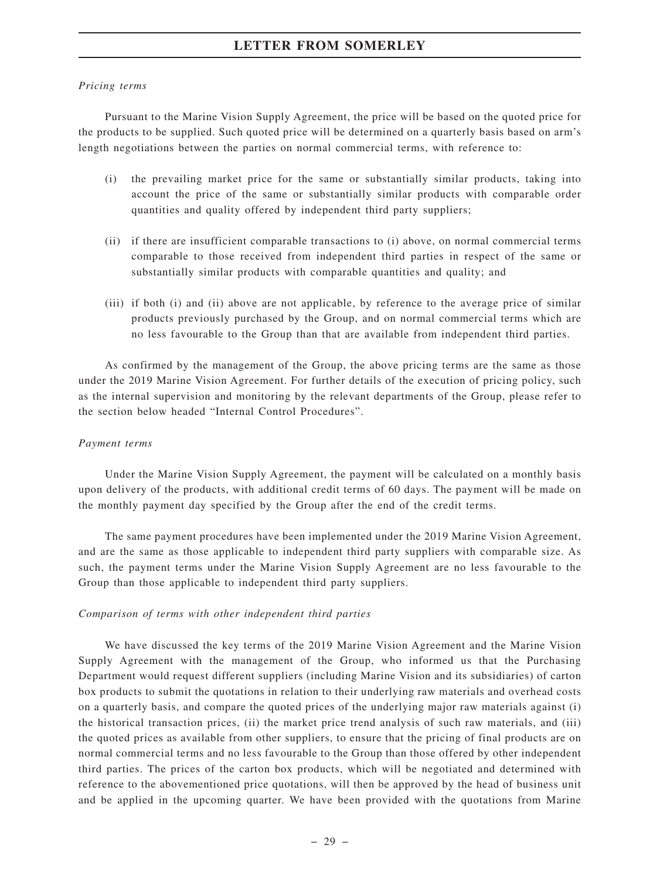#### *Pricing terms*

Pursuant to the Marine Vision Supply Agreement, the price will be based on the quoted price for the products to be supplied. Such quoted price will be determined on a quarterly basis based on arm's length negotiations between the parties on normal commercial terms, with reference to:

- (i) the prevailing market price for the same or substantially similar products, taking into account the price of the same or substantially similar products with comparable order quantities and quality offered by independent third party suppliers;
- (ii) if there are insufficient comparable transactions to (i) above, on normal commercial terms comparable to those received from independent third parties in respect of the same or substantially similar products with comparable quantities and quality; and
- (iii) if both (i) and (ii) above are not applicable, by reference to the average price of similar products previously purchased by the Group, and on normal commercial terms which are no less favourable to the Group than that are available from independent third parties.

As confirmed by the management of the Group, the above pricing terms are the same as those under the 2019 Marine Vision Agreement. For further details of the execution of pricing policy, such as the internal supervision and monitoring by the relevant departments of the Group, please refer to the section below headed "Internal Control Procedures".

#### *Payment terms*

Under the Marine Vision Supply Agreement, the payment will be calculated on a monthly basis upon delivery of the products, with additional credit terms of 60 days. The payment will be made on the monthly payment day specified by the Group after the end of the credit terms.

The same payment procedures have been implemented under the 2019 Marine Vision Agreement, and are the same as those applicable to independent third party suppliers with comparable size. As such, the payment terms under the Marine Vision Supply Agreement are no less favourable to the Group than those applicable to independent third party suppliers.

#### *Comparison of terms with other independent third parties*

We have discussed the key terms of the 2019 Marine Vision Agreement and the Marine Vision Supply Agreement with the management of the Group, who informed us that the Purchasing Department would request different suppliers (including Marine Vision and its subsidiaries) of carton box products to submit the quotations in relation to their underlying raw materials and overhead costs on a quarterly basis, and compare the quoted prices of the underlying major raw materials against (i) the historical transaction prices, (ii) the market price trend analysis of such raw materials, and (iii) the quoted prices as available from other suppliers, to ensure that the pricing of final products are on normal commercial terms and no less favourable to the Group than those offered by other independent third parties. The prices of the carton box products, which will be negotiated and determined with reference to the abovementioned price quotations, will then be approved by the head of business unit and be applied in the upcoming quarter. We have been provided with the quotations from Marine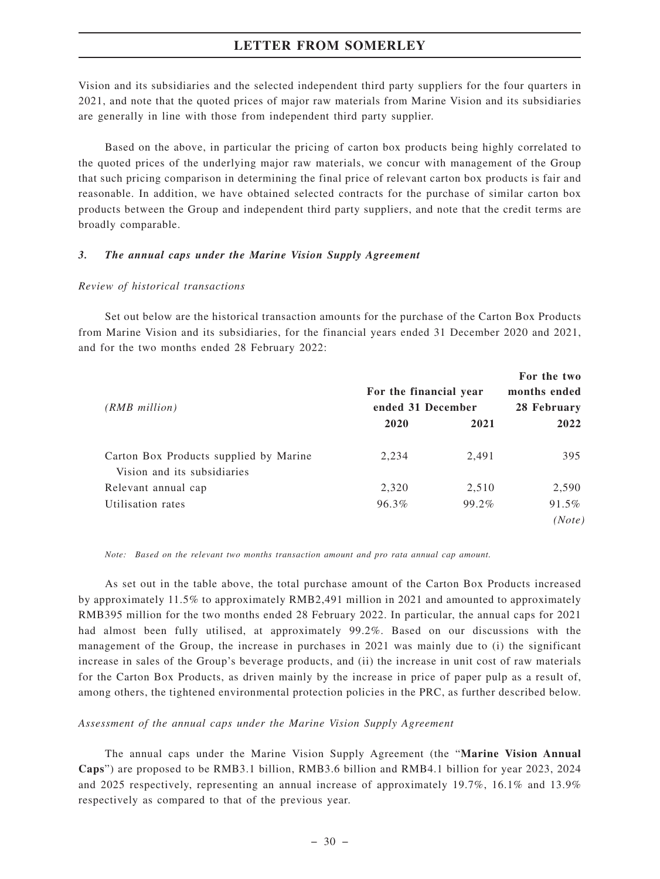Vision and its subsidiaries and the selected independent third party suppliers for the four quarters in 2021, and note that the quoted prices of major raw materials from Marine Vision and its subsidiaries are generally in line with those from independent third party supplier.

Based on the above, in particular the pricing of carton box products being highly correlated to the quoted prices of the underlying major raw materials, we concur with management of the Group that such pricing comparison in determining the final price of relevant carton box products is fair and reasonable. In addition, we have obtained selected contracts for the purchase of similar carton box products between the Group and independent third party suppliers, and note that the credit terms are broadly comparable.

#### *3. The annual caps under the Marine Vision Supply Agreement*

#### *Review of historical transactions*

Set out below are the historical transaction amounts for the purchase of the Carton Box Products from Marine Vision and its subsidiaries, for the financial years ended 31 December 2020 and 2021, and for the two months ended 28 February 2022:

| $(RMB$ million)                                                       | For the financial year<br>ended 31 December |       | For the two<br>months ended<br>28 February |
|-----------------------------------------------------------------------|---------------------------------------------|-------|--------------------------------------------|
|                                                                       | 2020                                        | 2021  | 2022                                       |
| Carton Box Products supplied by Marine<br>Vision and its subsidiaries | 2,234                                       | 2,491 | 395                                        |
| Relevant annual cap                                                   | 2,320                                       | 2,510 | 2,590                                      |
| Utilisation rates                                                     | 96.3%                                       | 99.2% | $91.5\%$<br>(Note)                         |

*Note: Based on the relevant two months transaction amount and pro rata annual cap amount.*

As set out in the table above, the total purchase amount of the Carton Box Products increased by approximately 11.5% to approximately RMB2,491 million in 2021 and amounted to approximately RMB395 million for the two months ended 28 February 2022. In particular, the annual caps for 2021 had almost been fully utilised, at approximately 99.2%. Based on our discussions with the management of the Group, the increase in purchases in 2021 was mainly due to (i) the significant increase in sales of the Group's beverage products, and (ii) the increase in unit cost of raw materials for the Carton Box Products, as driven mainly by the increase in price of paper pulp as a result of, among others, the tightened environmental protection policies in the PRC, as further described below.

*Assessment of the annual caps under the Marine Vision Supply Agreement*

The annual caps under the Marine Vision Supply Agreement (the "**Marine Vision Annual Caps**") are proposed to be RMB3.1 billion, RMB3.6 billion and RMB4.1 billion for year 2023, 2024 and 2025 respectively, representing an annual increase of approximately 19.7%, 16.1% and 13.9% respectively as compared to that of the previous year.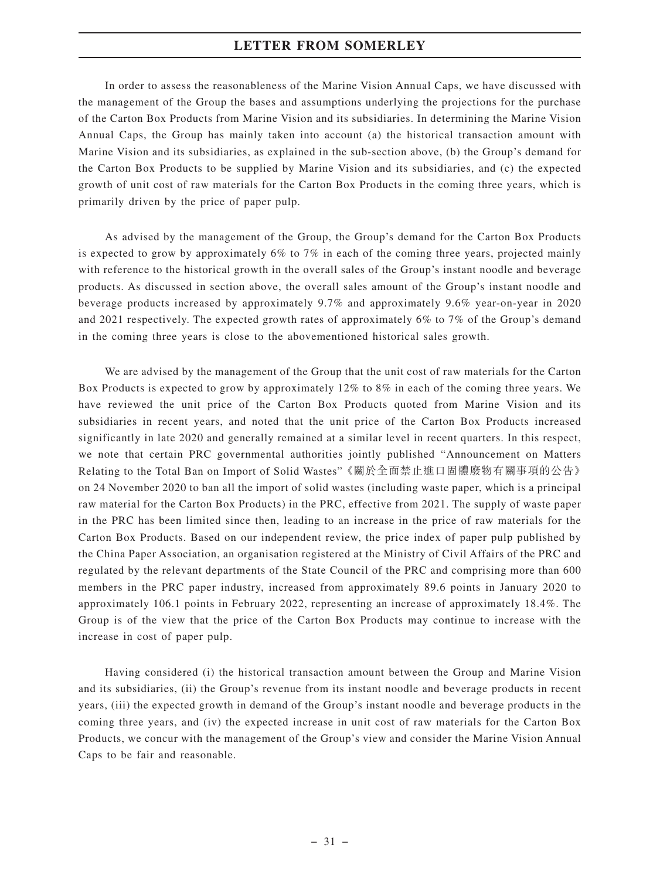In order to assess the reasonableness of the Marine Vision Annual Caps, we have discussed with the management of the Group the bases and assumptions underlying the projections for the purchase of the Carton Box Products from Marine Vision and its subsidiaries. In determining the Marine Vision Annual Caps, the Group has mainly taken into account (a) the historical transaction amount with Marine Vision and its subsidiaries, as explained in the sub-section above, (b) the Group's demand for the Carton Box Products to be supplied by Marine Vision and its subsidiaries, and (c) the expected growth of unit cost of raw materials for the Carton Box Products in the coming three years, which is primarily driven by the price of paper pulp.

As advised by the management of the Group, the Group's demand for the Carton Box Products is expected to grow by approximately 6% to 7% in each of the coming three years, projected mainly with reference to the historical growth in the overall sales of the Group's instant noodle and beverage products. As discussed in section above, the overall sales amount of the Group's instant noodle and beverage products increased by approximately 9.7% and approximately 9.6% year-on-year in 2020 and 2021 respectively. The expected growth rates of approximately 6% to 7% of the Group's demand in the coming three years is close to the abovementioned historical sales growth.

We are advised by the management of the Group that the unit cost of raw materials for the Carton Box Products is expected to grow by approximately 12% to 8% in each of the coming three years. We have reviewed the unit price of the Carton Box Products quoted from Marine Vision and its subsidiaries in recent years, and noted that the unit price of the Carton Box Products increased significantly in late 2020 and generally remained at a similar level in recent quarters. In this respect, we note that certain PRC governmental authorities jointly published "Announcement on Matters Relating to the Total Ban on Import of Solid Wastes"《關於全面禁止進口固體廢物有關事項的公告》 on 24 November 2020 to ban all the import of solid wastes (including waste paper, which is a principal raw material for the Carton Box Products) in the PRC, effective from 2021. The supply of waste paper in the PRC has been limited since then, leading to an increase in the price of raw materials for the Carton Box Products. Based on our independent review, the price index of paper pulp published by the China Paper Association, an organisation registered at the Ministry of Civil Affairs of the PRC and regulated by the relevant departments of the State Council of the PRC and comprising more than 600 members in the PRC paper industry, increased from approximately 89.6 points in January 2020 to approximately 106.1 points in February 2022, representing an increase of approximately 18.4%. The Group is of the view that the price of the Carton Box Products may continue to increase with the increase in cost of paper pulp.

Having considered (i) the historical transaction amount between the Group and Marine Vision and its subsidiaries, (ii) the Group's revenue from its instant noodle and beverage products in recent years, (iii) the expected growth in demand of the Group's instant noodle and beverage products in the coming three years, and (iv) the expected increase in unit cost of raw materials for the Carton Box Products, we concur with the management of the Group's view and consider the Marine Vision Annual Caps to be fair and reasonable.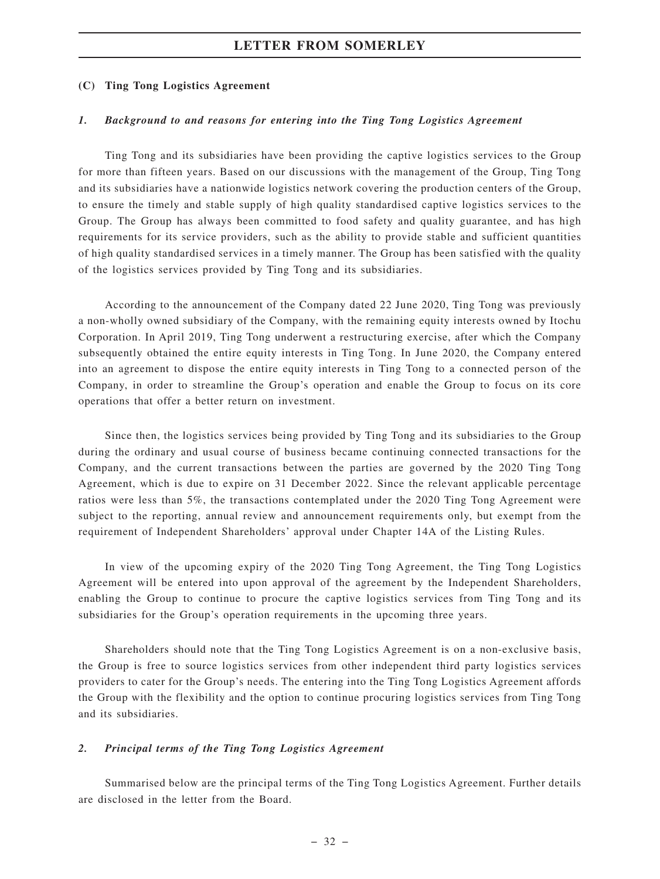#### **(C) Ting Tong Logistics Agreement**

#### *1. Background to and reasons for entering into the Ting Tong Logistics Agreement*

Ting Tong and its subsidiaries have been providing the captive logistics services to the Group for more than fifteen years. Based on our discussions with the management of the Group, Ting Tong and its subsidiaries have a nationwide logistics network covering the production centers of the Group, to ensure the timely and stable supply of high quality standardised captive logistics services to the Group. The Group has always been committed to food safety and quality guarantee, and has high requirements for its service providers, such as the ability to provide stable and sufficient quantities of high quality standardised services in a timely manner. The Group has been satisfied with the quality of the logistics services provided by Ting Tong and its subsidiaries.

According to the announcement of the Company dated 22 June 2020, Ting Tong was previously a non-wholly owned subsidiary of the Company, with the remaining equity interests owned by Itochu Corporation. In April 2019, Ting Tong underwent a restructuring exercise, after which the Company subsequently obtained the entire equity interests in Ting Tong. In June 2020, the Company entered into an agreement to dispose the entire equity interests in Ting Tong to a connected person of the Company, in order to streamline the Group's operation and enable the Group to focus on its core operations that offer a better return on investment.

Since then, the logistics services being provided by Ting Tong and its subsidiaries to the Group during the ordinary and usual course of business became continuing connected transactions for the Company, and the current transactions between the parties are governed by the 2020 Ting Tong Agreement, which is due to expire on 31 December 2022. Since the relevant applicable percentage ratios were less than 5%, the transactions contemplated under the 2020 Ting Tong Agreement were subject to the reporting, annual review and announcement requirements only, but exempt from the requirement of Independent Shareholders' approval under Chapter 14A of the Listing Rules.

In view of the upcoming expiry of the 2020 Ting Tong Agreement, the Ting Tong Logistics Agreement will be entered into upon approval of the agreement by the Independent Shareholders, enabling the Group to continue to procure the captive logistics services from Ting Tong and its subsidiaries for the Group's operation requirements in the upcoming three years.

Shareholders should note that the Ting Tong Logistics Agreement is on a non-exclusive basis, the Group is free to source logistics services from other independent third party logistics services providers to cater for the Group's needs. The entering into the Ting Tong Logistics Agreement affords the Group with the flexibility and the option to continue procuring logistics services from Ting Tong and its subsidiaries.

#### *2. Principal terms of the Ting Tong Logistics Agreement*

Summarised below are the principal terms of the Ting Tong Logistics Agreement. Further details are disclosed in the letter from the Board.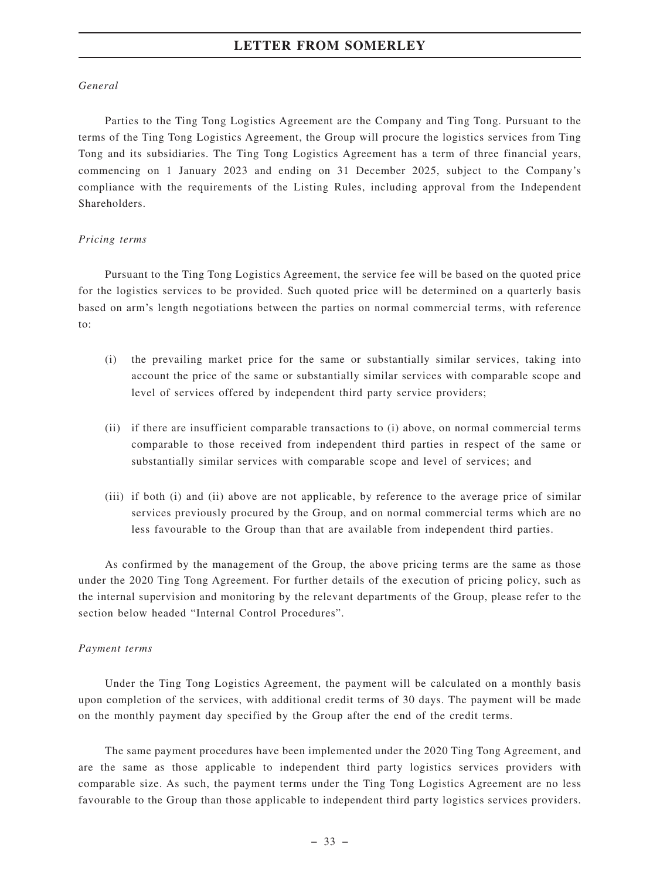#### *General*

Parties to the Ting Tong Logistics Agreement are the Company and Ting Tong. Pursuant to the terms of the Ting Tong Logistics Agreement, the Group will procure the logistics services from Ting Tong and its subsidiaries. The Ting Tong Logistics Agreement has a term of three financial years, commencing on 1 January 2023 and ending on 31 December 2025, subject to the Company's compliance with the requirements of the Listing Rules, including approval from the Independent Shareholders.

#### *Pricing terms*

Pursuant to the Ting Tong Logistics Agreement, the service fee will be based on the quoted price for the logistics services to be provided. Such quoted price will be determined on a quarterly basis based on arm's length negotiations between the parties on normal commercial terms, with reference to:

- (i) the prevailing market price for the same or substantially similar services, taking into account the price of the same or substantially similar services with comparable scope and level of services offered by independent third party service providers;
- (ii) if there are insufficient comparable transactions to (i) above, on normal commercial terms comparable to those received from independent third parties in respect of the same or substantially similar services with comparable scope and level of services; and
- (iii) if both (i) and (ii) above are not applicable, by reference to the average price of similar services previously procured by the Group, and on normal commercial terms which are no less favourable to the Group than that are available from independent third parties.

As confirmed by the management of the Group, the above pricing terms are the same as those under the 2020 Ting Tong Agreement. For further details of the execution of pricing policy, such as the internal supervision and monitoring by the relevant departments of the Group, please refer to the section below headed "Internal Control Procedures".

#### *Payment terms*

Under the Ting Tong Logistics Agreement, the payment will be calculated on a monthly basis upon completion of the services, with additional credit terms of 30 days. The payment will be made on the monthly payment day specified by the Group after the end of the credit terms.

The same payment procedures have been implemented under the 2020 Ting Tong Agreement, and are the same as those applicable to independent third party logistics services providers with comparable size. As such, the payment terms under the Ting Tong Logistics Agreement are no less favourable to the Group than those applicable to independent third party logistics services providers.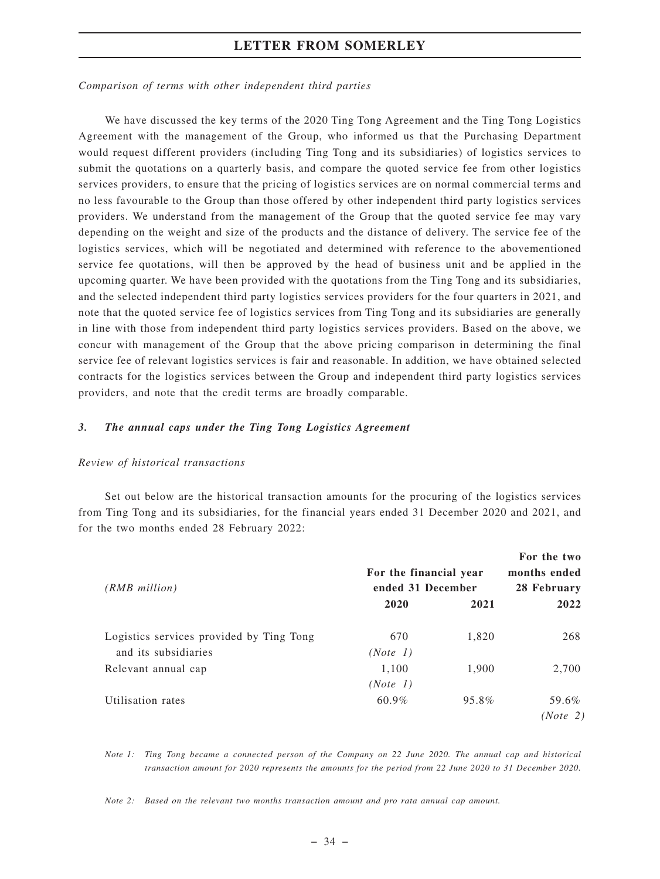*Comparison of terms with other independent third parties*

We have discussed the key terms of the 2020 Ting Tong Agreement and the Ting Tong Logistics Agreement with the management of the Group, who informed us that the Purchasing Department would request different providers (including Ting Tong and its subsidiaries) of logistics services to submit the quotations on a quarterly basis, and compare the quoted service fee from other logistics services providers, to ensure that the pricing of logistics services are on normal commercial terms and no less favourable to the Group than those offered by other independent third party logistics services providers. We understand from the management of the Group that the quoted service fee may vary depending on the weight and size of the products and the distance of delivery. The service fee of the logistics services, which will be negotiated and determined with reference to the abovementioned service fee quotations, will then be approved by the head of business unit and be applied in the upcoming quarter. We have been provided with the quotations from the Ting Tong and its subsidiaries, and the selected independent third party logistics services providers for the four quarters in 2021, and note that the quoted service fee of logistics services from Ting Tong and its subsidiaries are generally in line with those from independent third party logistics services providers. Based on the above, we concur with management of the Group that the above pricing comparison in determining the final service fee of relevant logistics services is fair and reasonable. In addition, we have obtained selected contracts for the logistics services between the Group and independent third party logistics services providers, and note that the credit terms are broadly comparable.

#### *3. The annual caps under the Ting Tong Logistics Agreement*

#### *Review of historical transactions*

Set out below are the historical transaction amounts for the procuring of the logistics services from Ting Tong and its subsidiaries, for the financial years ended 31 December 2020 and 2021, and for the two months ended 28 February 2022:

| $(RMB$ million)                                                  | For the financial year<br>ended 31 December |       | For the two<br>months ended<br>28 February |
|------------------------------------------------------------------|---------------------------------------------|-------|--------------------------------------------|
|                                                                  | 2020                                        | 2021  | 2022                                       |
| Logistics services provided by Ting Tong<br>and its subsidiaries | 670<br>(Note 1)                             | 1,820 | 268                                        |
| Relevant annual cap                                              | 1,100<br>(Note 1)                           | 1,900 | 2,700                                      |
| Utilisation rates                                                | $60.9\%$                                    | 95.8% | 59.6%<br>(Note 2)                          |

*Note 1: Ting Tong became a connected person of the Company on 22 June 2020. The annual cap and historical transaction amount for 2020 represents the amounts for the period from 22 June 2020 to 31 December 2020.*

*Note 2: Based on the relevant two months transaction amount and pro rata annual cap amount.*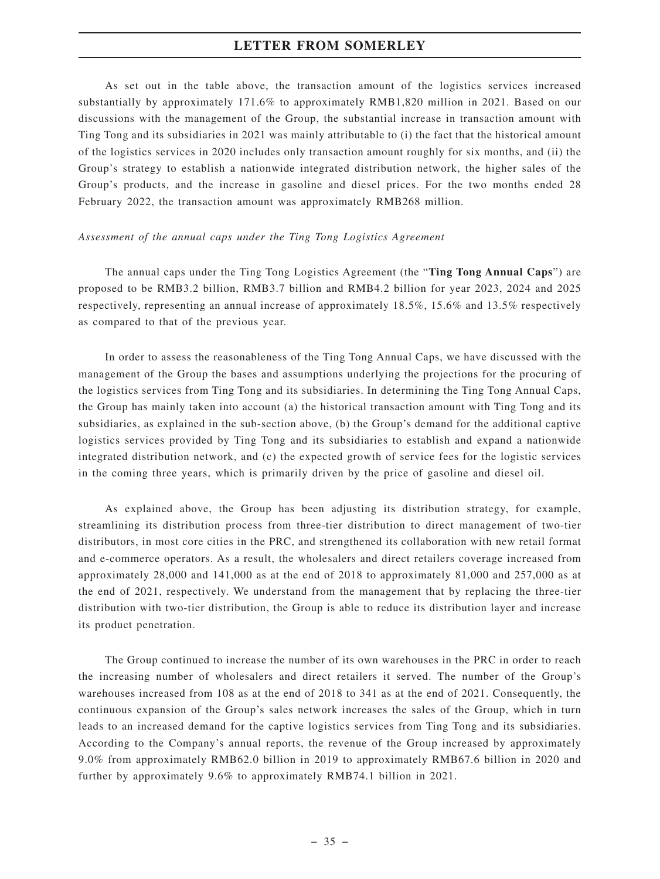As set out in the table above, the transaction amount of the logistics services increased substantially by approximately 171.6% to approximately RMB1,820 million in 2021. Based on our discussions with the management of the Group, the substantial increase in transaction amount with Ting Tong and its subsidiaries in 2021 was mainly attributable to (i) the fact that the historical amount of the logistics services in 2020 includes only transaction amount roughly for six months, and (ii) the Group's strategy to establish a nationwide integrated distribution network, the higher sales of the Group's products, and the increase in gasoline and diesel prices. For the two months ended 28 February 2022, the transaction amount was approximately RMB268 million.

#### *Assessment of the annual caps under the Ting Tong Logistics Agreement*

The annual caps under the Ting Tong Logistics Agreement (the "**Ting Tong Annual Caps**") are proposed to be RMB3.2 billion, RMB3.7 billion and RMB4.2 billion for year 2023, 2024 and 2025 respectively, representing an annual increase of approximately 18.5%, 15.6% and 13.5% respectively as compared to that of the previous year.

In order to assess the reasonableness of the Ting Tong Annual Caps, we have discussed with the management of the Group the bases and assumptions underlying the projections for the procuring of the logistics services from Ting Tong and its subsidiaries. In determining the Ting Tong Annual Caps, the Group has mainly taken into account (a) the historical transaction amount with Ting Tong and its subsidiaries, as explained in the sub-section above, (b) the Group's demand for the additional captive logistics services provided by Ting Tong and its subsidiaries to establish and expand a nationwide integrated distribution network, and (c) the expected growth of service fees for the logistic services in the coming three years, which is primarily driven by the price of gasoline and diesel oil.

As explained above, the Group has been adjusting its distribution strategy, for example, streamlining its distribution process from three-tier distribution to direct management of two-tier distributors, in most core cities in the PRC, and strengthened its collaboration with new retail format and e-commerce operators. As a result, the wholesalers and direct retailers coverage increased from approximately 28,000 and 141,000 as at the end of 2018 to approximately 81,000 and 257,000 as at the end of 2021, respectively. We understand from the management that by replacing the three-tier distribution with two-tier distribution, the Group is able to reduce its distribution layer and increase its product penetration.

The Group continued to increase the number of its own warehouses in the PRC in order to reach the increasing number of wholesalers and direct retailers it served. The number of the Group's warehouses increased from 108 as at the end of 2018 to 341 as at the end of 2021. Consequently, the continuous expansion of the Group's sales network increases the sales of the Group, which in turn leads to an increased demand for the captive logistics services from Ting Tong and its subsidiaries. According to the Company's annual reports, the revenue of the Group increased by approximately 9.0% from approximately RMB62.0 billion in 2019 to approximately RMB67.6 billion in 2020 and further by approximately 9.6% to approximately RMB74.1 billion in 2021.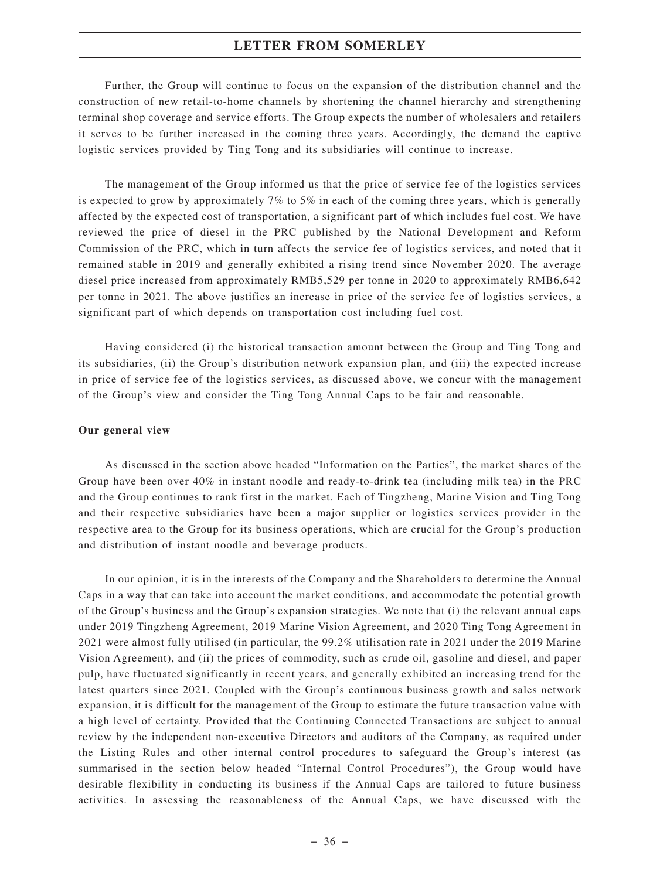Further, the Group will continue to focus on the expansion of the distribution channel and the construction of new retail-to-home channels by shortening the channel hierarchy and strengthening terminal shop coverage and service efforts. The Group expects the number of wholesalers and retailers it serves to be further increased in the coming three years. Accordingly, the demand the captive logistic services provided by Ting Tong and its subsidiaries will continue to increase.

The management of the Group informed us that the price of service fee of the logistics services is expected to grow by approximately 7% to 5% in each of the coming three years, which is generally affected by the expected cost of transportation, a significant part of which includes fuel cost. We have reviewed the price of diesel in the PRC published by the National Development and Reform Commission of the PRC, which in turn affects the service fee of logistics services, and noted that it remained stable in 2019 and generally exhibited a rising trend since November 2020. The average diesel price increased from approximately RMB5,529 per tonne in 2020 to approximately RMB6,642 per tonne in 2021. The above justifies an increase in price of the service fee of logistics services, a significant part of which depends on transportation cost including fuel cost.

Having considered (i) the historical transaction amount between the Group and Ting Tong and its subsidiaries, (ii) the Group's distribution network expansion plan, and (iii) the expected increase in price of service fee of the logistics services, as discussed above, we concur with the management of the Group's view and consider the Ting Tong Annual Caps to be fair and reasonable.

#### **Our general view**

As discussed in the section above headed "Information on the Parties", the market shares of the Group have been over 40% in instant noodle and ready-to-drink tea (including milk tea) in the PRC and the Group continues to rank first in the market. Each of Tingzheng, Marine Vision and Ting Tong and their respective subsidiaries have been a major supplier or logistics services provider in the respective area to the Group for its business operations, which are crucial for the Group's production and distribution of instant noodle and beverage products.

In our opinion, it is in the interests of the Company and the Shareholders to determine the Annual Caps in a way that can take into account the market conditions, and accommodate the potential growth of the Group's business and the Group's expansion strategies. We note that (i) the relevant annual caps under 2019 Tingzheng Agreement, 2019 Marine Vision Agreement, and 2020 Ting Tong Agreement in 2021 were almost fully utilised (in particular, the 99.2% utilisation rate in 2021 under the 2019 Marine Vision Agreement), and (ii) the prices of commodity, such as crude oil, gasoline and diesel, and paper pulp, have fluctuated significantly in recent years, and generally exhibited an increasing trend for the latest quarters since 2021. Coupled with the Group's continuous business growth and sales network expansion, it is difficult for the management of the Group to estimate the future transaction value with a high level of certainty. Provided that the Continuing Connected Transactions are subject to annual review by the independent non-executive Directors and auditors of the Company, as required under the Listing Rules and other internal control procedures to safeguard the Group's interest (as summarised in the section below headed "Internal Control Procedures"), the Group would have desirable flexibility in conducting its business if the Annual Caps are tailored to future business activities. In assessing the reasonableness of the Annual Caps, we have discussed with the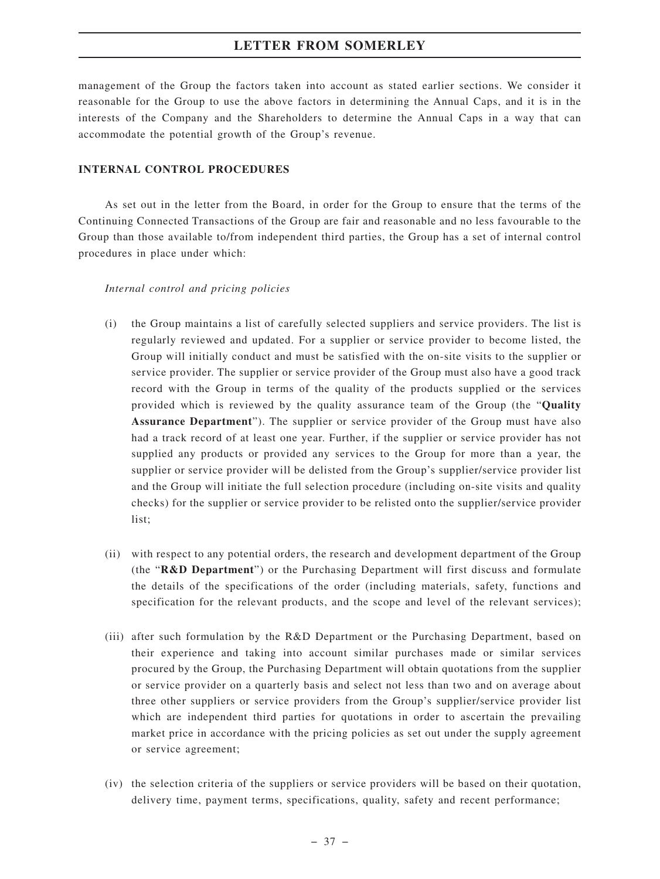management of the Group the factors taken into account as stated earlier sections. We consider it reasonable for the Group to use the above factors in determining the Annual Caps, and it is in the interests of the Company and the Shareholders to determine the Annual Caps in a way that can accommodate the potential growth of the Group's revenue.

## **INTERNAL CONTROL PROCEDURES**

As set out in the letter from the Board, in order for the Group to ensure that the terms of the Continuing Connected Transactions of the Group are fair and reasonable and no less favourable to the Group than those available to/from independent third parties, the Group has a set of internal control procedures in place under which:

#### *Internal control and pricing policies*

- (i) the Group maintains a list of carefully selected suppliers and service providers. The list is regularly reviewed and updated. For a supplier or service provider to become listed, the Group will initially conduct and must be satisfied with the on-site visits to the supplier or service provider. The supplier or service provider of the Group must also have a good track record with the Group in terms of the quality of the products supplied or the services provided which is reviewed by the quality assurance team of the Group (the "**Quality Assurance Department**"). The supplier or service provider of the Group must have also had a track record of at least one year. Further, if the supplier or service provider has not supplied any products or provided any services to the Group for more than a year, the supplier or service provider will be delisted from the Group's supplier/service provider list and the Group will initiate the full selection procedure (including on-site visits and quality checks) for the supplier or service provider to be relisted onto the supplier/service provider list;
- (ii) with respect to any potential orders, the research and development department of the Group (the "**R&D Department**") or the Purchasing Department will first discuss and formulate the details of the specifications of the order (including materials, safety, functions and specification for the relevant products, and the scope and level of the relevant services);
- (iii) after such formulation by the R&D Department or the Purchasing Department, based on their experience and taking into account similar purchases made or similar services procured by the Group, the Purchasing Department will obtain quotations from the supplier or service provider on a quarterly basis and select not less than two and on average about three other suppliers or service providers from the Group's supplier/service provider list which are independent third parties for quotations in order to ascertain the prevailing market price in accordance with the pricing policies as set out under the supply agreement or service agreement;
- (iv) the selection criteria of the suppliers or service providers will be based on their quotation, delivery time, payment terms, specifications, quality, safety and recent performance;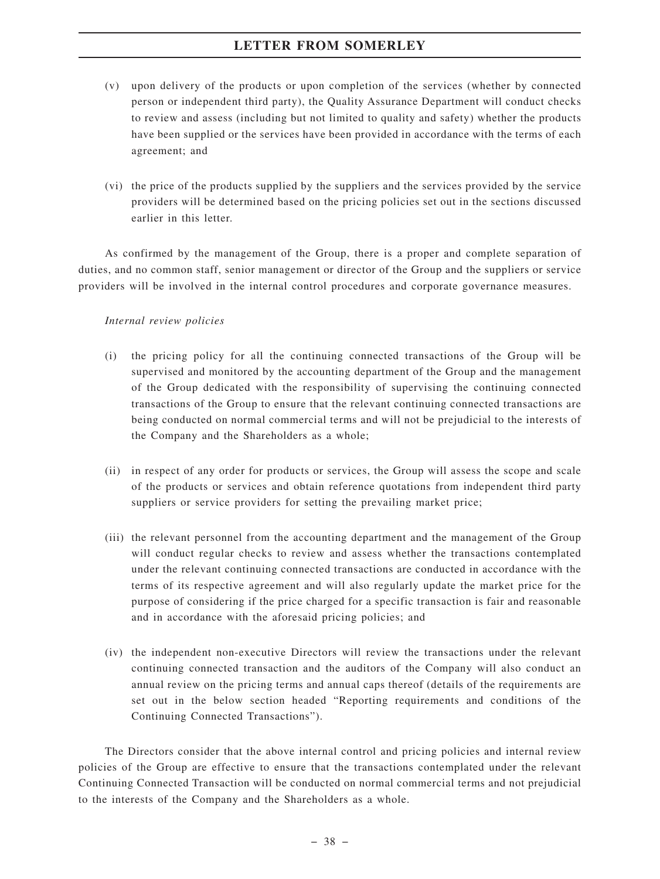- (v) upon delivery of the products or upon completion of the services (whether by connected person or independent third party), the Quality Assurance Department will conduct checks to review and assess (including but not limited to quality and safety) whether the products have been supplied or the services have been provided in accordance with the terms of each agreement; and
- (vi) the price of the products supplied by the suppliers and the services provided by the service providers will be determined based on the pricing policies set out in the sections discussed earlier in this letter.

As confirmed by the management of the Group, there is a proper and complete separation of duties, and no common staff, senior management or director of the Group and the suppliers or service providers will be involved in the internal control procedures and corporate governance measures.

# *Internal review policies*

- (i) the pricing policy for all the continuing connected transactions of the Group will be supervised and monitored by the accounting department of the Group and the management of the Group dedicated with the responsibility of supervising the continuing connected transactions of the Group to ensure that the relevant continuing connected transactions are being conducted on normal commercial terms and will not be prejudicial to the interests of the Company and the Shareholders as a whole;
- (ii) in respect of any order for products or services, the Group will assess the scope and scale of the products or services and obtain reference quotations from independent third party suppliers or service providers for setting the prevailing market price;
- (iii) the relevant personnel from the accounting department and the management of the Group will conduct regular checks to review and assess whether the transactions contemplated under the relevant continuing connected transactions are conducted in accordance with the terms of its respective agreement and will also regularly update the market price for the purpose of considering if the price charged for a specific transaction is fair and reasonable and in accordance with the aforesaid pricing policies; and
- (iv) the independent non-executive Directors will review the transactions under the relevant continuing connected transaction and the auditors of the Company will also conduct an annual review on the pricing terms and annual caps thereof (details of the requirements are set out in the below section headed "Reporting requirements and conditions of the Continuing Connected Transactions").

The Directors consider that the above internal control and pricing policies and internal review policies of the Group are effective to ensure that the transactions contemplated under the relevant Continuing Connected Transaction will be conducted on normal commercial terms and not prejudicial to the interests of the Company and the Shareholders as a whole.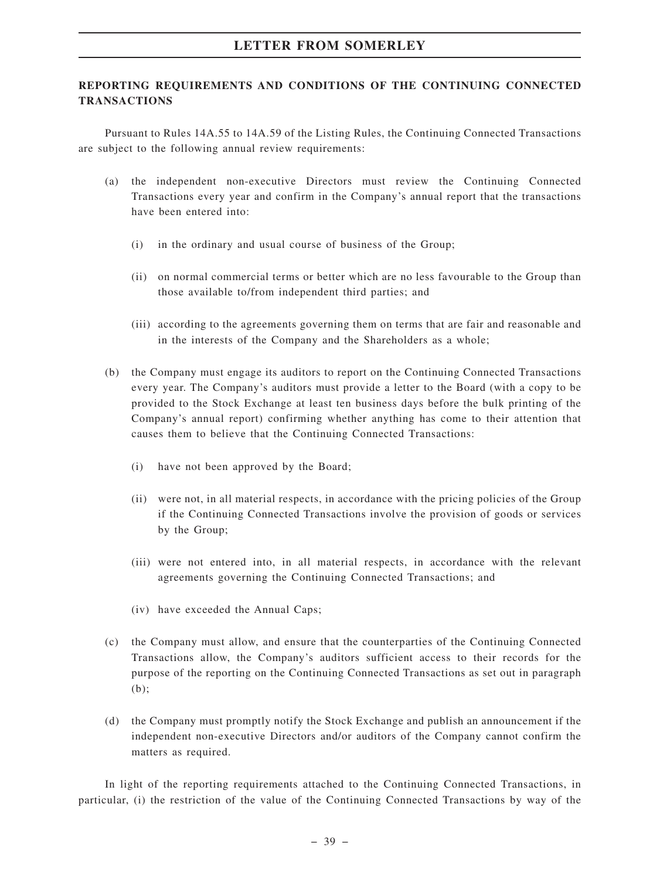# **REPORTING REQUIREMENTS AND CONDITIONS OF THE CONTINUING CONNECTED TRANSACTIONS**

Pursuant to Rules 14A.55 to 14A.59 of the Listing Rules, the Continuing Connected Transactions are subject to the following annual review requirements:

- (a) the independent non-executive Directors must review the Continuing Connected Transactions every year and confirm in the Company's annual report that the transactions have been entered into:
	- (i) in the ordinary and usual course of business of the Group;
	- (ii) on normal commercial terms or better which are no less favourable to the Group than those available to/from independent third parties; and
	- (iii) according to the agreements governing them on terms that are fair and reasonable and in the interests of the Company and the Shareholders as a whole;
- (b) the Company must engage its auditors to report on the Continuing Connected Transactions every year. The Company's auditors must provide a letter to the Board (with a copy to be provided to the Stock Exchange at least ten business days before the bulk printing of the Company's annual report) confirming whether anything has come to their attention that causes them to believe that the Continuing Connected Transactions:
	- (i) have not been approved by the Board;
	- (ii) were not, in all material respects, in accordance with the pricing policies of the Group if the Continuing Connected Transactions involve the provision of goods or services by the Group;
	- (iii) were not entered into, in all material respects, in accordance with the relevant agreements governing the Continuing Connected Transactions; and
	- (iv) have exceeded the Annual Caps;
- (c) the Company must allow, and ensure that the counterparties of the Continuing Connected Transactions allow, the Company's auditors sufficient access to their records for the purpose of the reporting on the Continuing Connected Transactions as set out in paragraph (b);
- (d) the Company must promptly notify the Stock Exchange and publish an announcement if the independent non-executive Directors and/or auditors of the Company cannot confirm the matters as required.

In light of the reporting requirements attached to the Continuing Connected Transactions, in particular, (i) the restriction of the value of the Continuing Connected Transactions by way of the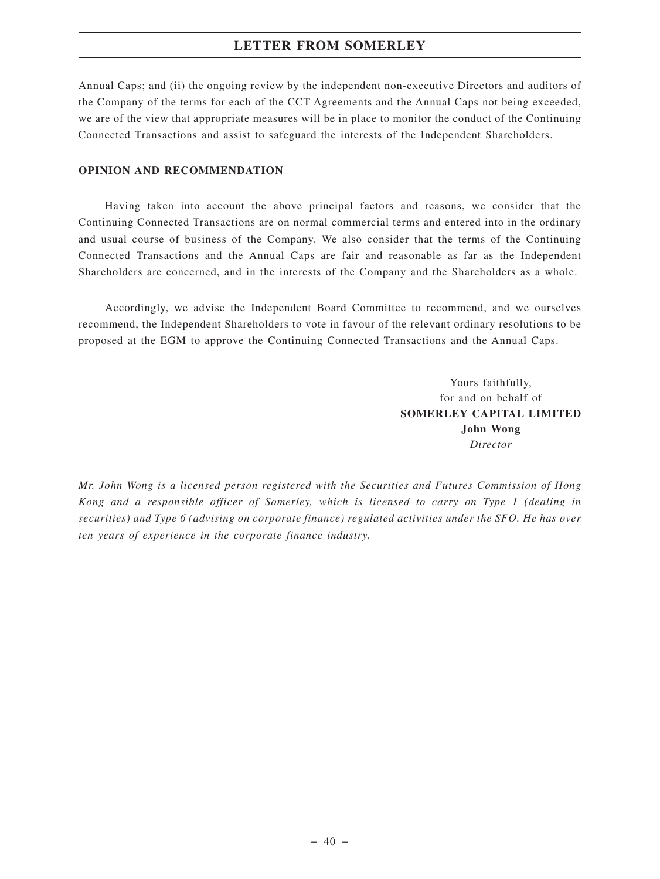Annual Caps; and (ii) the ongoing review by the independent non-executive Directors and auditors of the Company of the terms for each of the CCT Agreements and the Annual Caps not being exceeded, we are of the view that appropriate measures will be in place to monitor the conduct of the Continuing Connected Transactions and assist to safeguard the interests of the Independent Shareholders.

#### **OPINION AND RECOMMENDATION**

Having taken into account the above principal factors and reasons, we consider that the Continuing Connected Transactions are on normal commercial terms and entered into in the ordinary and usual course of business of the Company. We also consider that the terms of the Continuing Connected Transactions and the Annual Caps are fair and reasonable as far as the Independent Shareholders are concerned, and in the interests of the Company and the Shareholders as a whole.

Accordingly, we advise the Independent Board Committee to recommend, and we ourselves recommend, the Independent Shareholders to vote in favour of the relevant ordinary resolutions to be proposed at the EGM to approve the Continuing Connected Transactions and the Annual Caps.

> Yours faithfully, for and on behalf of **SOMERLEY CAPITAL LIMITED John Wong** *Director*

*Mr. John Wong is a licensed person registered with the Securities and Futures Commission of Hong Kong and a responsible officer of Somerley, which is licensed to carry on Type 1 (dealing in securities) and Type 6 (advising on corporate finance) regulated activities under the SFO. He has over ten years of experience in the corporate finance industry.*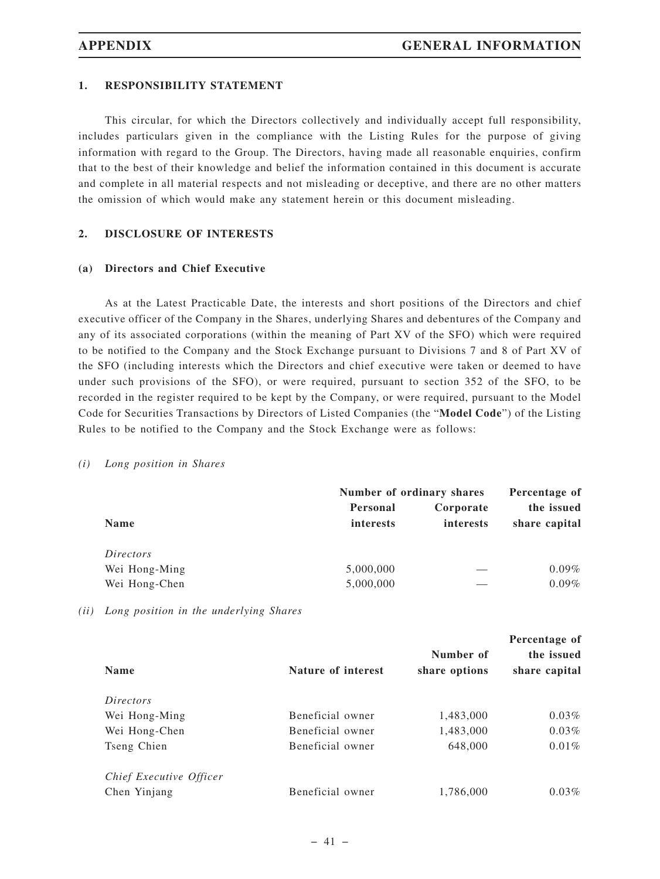# **1. RESPONSIBILITY STATEMENT**

This circular, for which the Directors collectively and individually accept full responsibility, includes particulars given in the compliance with the Listing Rules for the purpose of giving information with regard to the Group. The Directors, having made all reasonable enquiries, confirm that to the best of their knowledge and belief the information contained in this document is accurate and complete in all material respects and not misleading or deceptive, and there are no other matters the omission of which would make any statement herein or this document misleading.

## **2. DISCLOSURE OF INTERESTS**

#### **(a) Directors and Chief Executive**

As at the Latest Practicable Date, the interests and short positions of the Directors and chief executive officer of the Company in the Shares, underlying Shares and debentures of the Company and any of its associated corporations (within the meaning of Part XV of the SFO) which were required to be notified to the Company and the Stock Exchange pursuant to Divisions 7 and 8 of Part XV of the SFO (including interests which the Directors and chief executive were taken or deemed to have under such provisions of the SFO), or were required, pursuant to section 352 of the SFO, to be recorded in the register required to be kept by the Company, or were required, pursuant to the Model Code for Securities Transactions by Directors of Listed Companies (the "**Model Code**") of the Listing Rules to be notified to the Company and the Stock Exchange were as follows:

#### *(i) Long position in Shares*

|               | Number of ordinary shares |                        | Percentage of               |
|---------------|---------------------------|------------------------|-----------------------------|
| <b>Name</b>   | Personal<br>interests     | Corporate<br>interests | the issued<br>share capital |
| Directors     |                           |                        |                             |
| Wei Hong-Ming | 5,000,000                 |                        | $0.09\%$                    |
| Wei Hong-Chen | 5,000,000                 |                        | $0.09\%$                    |

*(ii) Long position in the underlying Shares*

| <b>Name</b>             | Nature of interest | Number of<br>share options | Percentage of<br>the issued<br>share capital |
|-------------------------|--------------------|----------------------------|----------------------------------------------|
| <i>Directors</i>        |                    |                            |                                              |
| Wei Hong-Ming           | Beneficial owner   | 1,483,000                  | $0.03\%$                                     |
| Wei Hong-Chen           | Beneficial owner   | 1,483,000                  | $0.03\%$                                     |
| Tseng Chien             | Beneficial owner   | 648,000                    | $0.01\%$                                     |
| Chief Executive Officer |                    |                            |                                              |
| Chen Yinjang            | Beneficial owner   | 1,786,000                  | $0.03\%$                                     |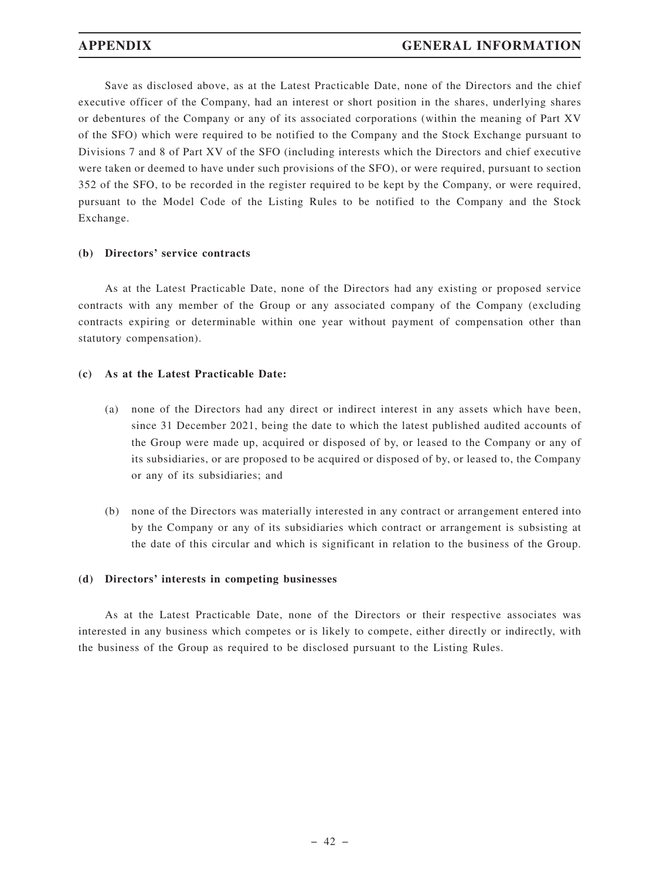Save as disclosed above, as at the Latest Practicable Date, none of the Directors and the chief executive officer of the Company, had an interest or short position in the shares, underlying shares or debentures of the Company or any of its associated corporations (within the meaning of Part XV of the SFO) which were required to be notified to the Company and the Stock Exchange pursuant to Divisions 7 and 8 of Part XV of the SFO (including interests which the Directors and chief executive were taken or deemed to have under such provisions of the SFO), or were required, pursuant to section 352 of the SFO, to be recorded in the register required to be kept by the Company, or were required, pursuant to the Model Code of the Listing Rules to be notified to the Company and the Stock Exchange.

# **(b) Directors' service contracts**

As at the Latest Practicable Date, none of the Directors had any existing or proposed service contracts with any member of the Group or any associated company of the Company (excluding contracts expiring or determinable within one year without payment of compensation other than statutory compensation).

# **(c) As at the Latest Practicable Date:**

- (a) none of the Directors had any direct or indirect interest in any assets which have been, since 31 December 2021, being the date to which the latest published audited accounts of the Group were made up, acquired or disposed of by, or leased to the Company or any of its subsidiaries, or are proposed to be acquired or disposed of by, or leased to, the Company or any of its subsidiaries; and
- (b) none of the Directors was materially interested in any contract or arrangement entered into by the Company or any of its subsidiaries which contract or arrangement is subsisting at the date of this circular and which is significant in relation to the business of the Group.

## **(d) Directors' interests in competing businesses**

As at the Latest Practicable Date, none of the Directors or their respective associates was interested in any business which competes or is likely to compete, either directly or indirectly, with the business of the Group as required to be disclosed pursuant to the Listing Rules.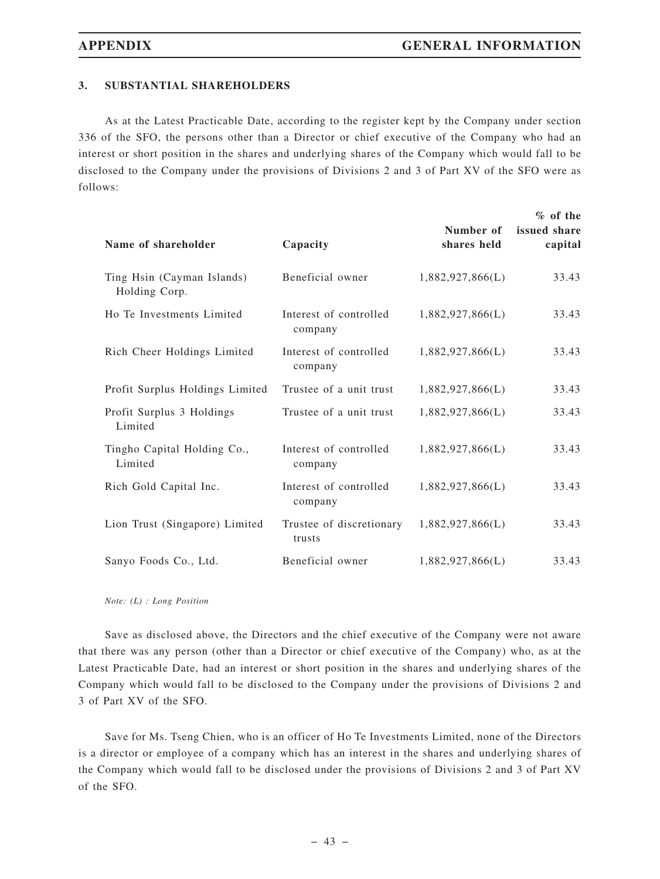# **3. SUBSTANTIAL SHAREHOLDERS**

As at the Latest Practicable Date, according to the register kept by the Company under section 336 of the SFO, the persons other than a Director or chief executive of the Company who had an interest or short position in the shares and underlying shares of the Company which would fall to be disclosed to the Company under the provisions of Divisions 2 and 3 of Part XV of the SFO were as follows:

| Name of shareholder                         | Capacity                           | Number of<br>shares held | $%$ of the<br>issued share<br>capital |
|---------------------------------------------|------------------------------------|--------------------------|---------------------------------------|
| Ting Hsin (Cayman Islands)<br>Holding Corp. | Beneficial owner                   | 1,882,927,866(L)         | 33.43                                 |
| Ho Te Investments Limited                   | Interest of controlled<br>company  | 1,882,927,866(L)         | 33.43                                 |
| Rich Cheer Holdings Limited                 | Interest of controlled<br>company  | 1,882,927,866(L)         | 33.43                                 |
| Profit Surplus Holdings Limited             | Trustee of a unit trust            | 1,882,927,866(L)         | 33.43                                 |
| Profit Surplus 3 Holdings<br>Limited        | Trustee of a unit trust            | 1,882,927,866(L)         | 33.43                                 |
| Tingho Capital Holding Co.,<br>Limited      | Interest of controlled<br>company  | 1,882,927,866(L)         | 33.43                                 |
| Rich Gold Capital Inc.                      | Interest of controlled<br>company  | 1,882,927,866(L)         | 33.43                                 |
| Lion Trust (Singapore) Limited              | Trustee of discretionary<br>trusts | 1,882,927,866(L)         | 33.43                                 |
| Sanyo Foods Co., Ltd.                       | Beneficial owner                   | 1,882,927,866(L)         | 33.43                                 |

*Note: (L) : Long Position*

Save as disclosed above, the Directors and the chief executive of the Company were not aware that there was any person (other than a Director or chief executive of the Company) who, as at the Latest Practicable Date, had an interest or short position in the shares and underlying shares of the Company which would fall to be disclosed to the Company under the provisions of Divisions 2 and 3 of Part XV of the SFO.

Save for Ms. Tseng Chien, who is an officer of Ho Te Investments Limited, none of the Directors is a director or employee of a company which has an interest in the shares and underlying shares of the Company which would fall to be disclosed under the provisions of Divisions 2 and 3 of Part XV of the SFO.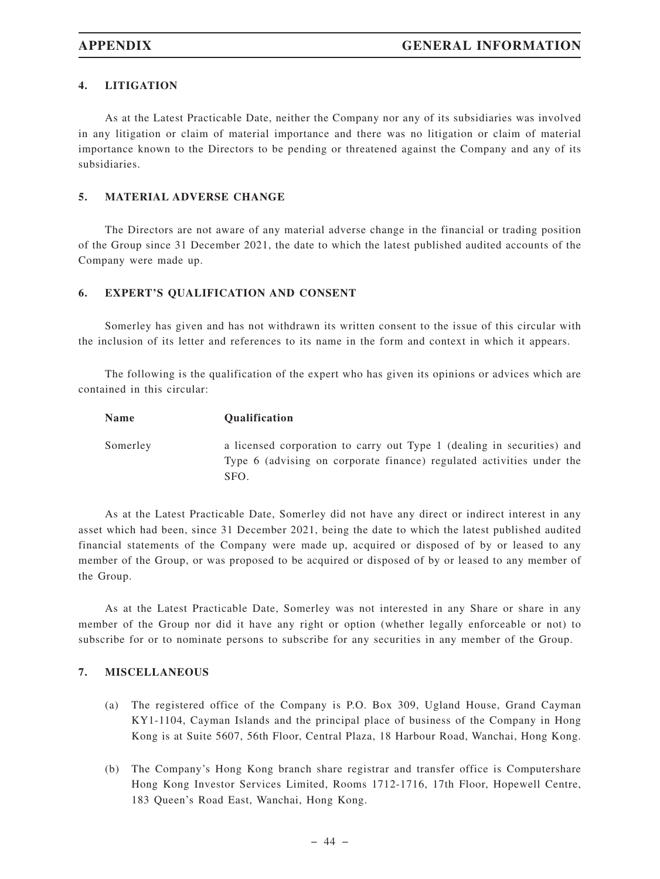# **4. LITIGATION**

As at the Latest Practicable Date, neither the Company nor any of its subsidiaries was involved in any litigation or claim of material importance and there was no litigation or claim of material importance known to the Directors to be pending or threatened against the Company and any of its subsidiaries.

## **5. MATERIAL ADVERSE CHANGE**

The Directors are not aware of any material adverse change in the financial or trading position of the Group since 31 December 2021, the date to which the latest published audited accounts of the Company were made up.

# **6. EXPERT'S QUALIFICATION AND CONSENT**

Somerley has given and has not withdrawn its written consent to the issue of this circular with the inclusion of its letter and references to its name in the form and context in which it appears.

The following is the qualification of the expert who has given its opinions or advices which are contained in this circular:

| <b>Name</b> | <b>Oualification</b>                                                                                                                                    |
|-------------|---------------------------------------------------------------------------------------------------------------------------------------------------------|
| Somerley    | a licensed corporation to carry out Type 1 (dealing in securities) and<br>Type 6 (advising on corporate finance) regulated activities under the<br>SFO. |

As at the Latest Practicable Date, Somerley did not have any direct or indirect interest in any asset which had been, since 31 December 2021, being the date to which the latest published audited financial statements of the Company were made up, acquired or disposed of by or leased to any member of the Group, or was proposed to be acquired or disposed of by or leased to any member of the Group.

As at the Latest Practicable Date, Somerley was not interested in any Share or share in any member of the Group nor did it have any right or option (whether legally enforceable or not) to subscribe for or to nominate persons to subscribe for any securities in any member of the Group.

## **7. MISCELLANEOUS**

- (a) The registered office of the Company is P.O. Box 309, Ugland House, Grand Cayman KY1-1104, Cayman Islands and the principal place of business of the Company in Hong Kong is at Suite 5607, 56th Floor, Central Plaza, 18 Harbour Road, Wanchai, Hong Kong.
- (b) The Company's Hong Kong branch share registrar and transfer office is Computershare Hong Kong Investor Services Limited, Rooms 1712-1716, 17th Floor, Hopewell Centre, 183 Queen's Road East, Wanchai, Hong Kong.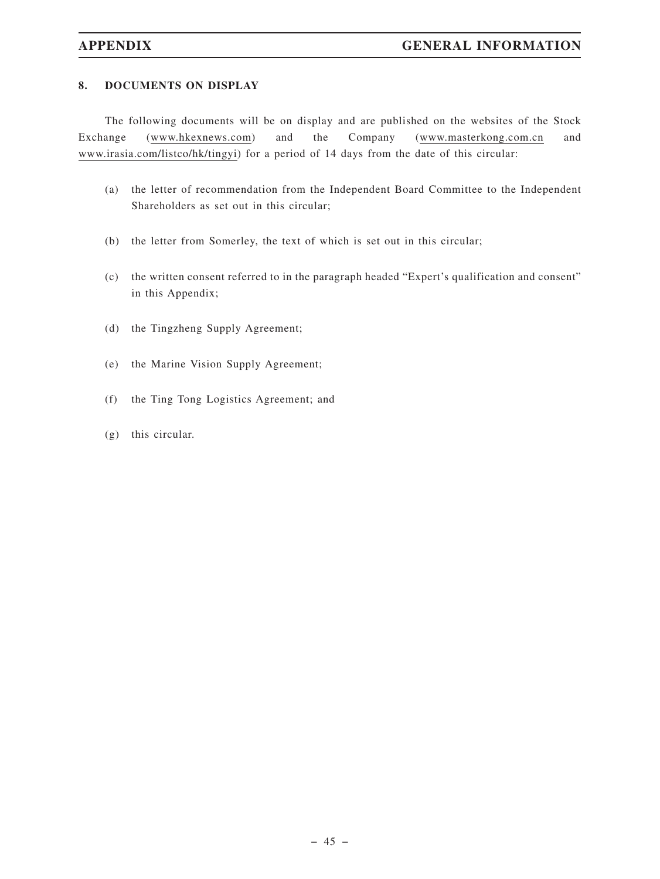# **8. DOCUMENTS ON DISPLAY**

The following documents will be on display and are published on the websites of the Stock Exchange (www.hkexnews.com) and the Company (www.masterkong.com.cn and www.irasia.com/listco/hk/tingyi) for a period of 14 days from the date of this circular:

- (a) the letter of recommendation from the Independent Board Committee to the Independent Shareholders as set out in this circular;
- (b) the letter from Somerley, the text of which is set out in this circular;
- (c) the written consent referred to in the paragraph headed "Expert's qualification and consent" in this Appendix;
- (d) the Tingzheng Supply Agreement;
- (e) the Marine Vision Supply Agreement;
- (f) the Ting Tong Logistics Agreement; and
- (g) this circular.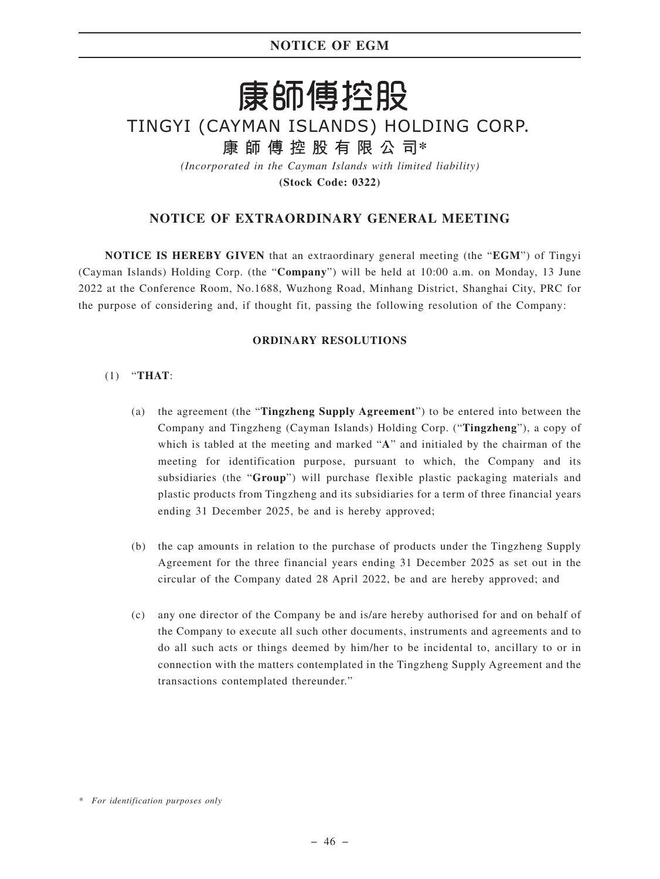# **NOTICE OF EGM**

# 康師傅控股

# TINGYI (CAYMAN ISLANDS) HOLDING CORP.

**康師傅控股有限公司\***

*(Incorporated in the Cayman Islands with limited liability)* **(Stock Code: 0322)**

# **NOTICE OF EXTRAORDINARY GENERAL MEETING**

**NOTICE IS HEREBY GIVEN** that an extraordinary general meeting (the "**EGM**") of Tingyi (Cayman Islands) Holding Corp. (the "**Company**") will be held at 10:00 a.m. on Monday, 13 June 2022 at the Conference Room, No.1688, Wuzhong Road, Minhang District, Shanghai City, PRC for the purpose of considering and, if thought fit, passing the following resolution of the Company:

## **ORDINARY RESOLUTIONS**

- (1) "**THAT**:
	- (a) the agreement (the "**Tingzheng Supply Agreement**") to be entered into between the Company and Tingzheng (Cayman Islands) Holding Corp. ("**Tingzheng**"), a copy of which is tabled at the meeting and marked "**A**" and initialed by the chairman of the meeting for identification purpose, pursuant to which, the Company and its subsidiaries (the "**Group**") will purchase flexible plastic packaging materials and plastic products from Tingzheng and its subsidiaries for a term of three financial years ending 31 December 2025, be and is hereby approved;
	- (b) the cap amounts in relation to the purchase of products under the Tingzheng Supply Agreement for the three financial years ending 31 December 2025 as set out in the circular of the Company dated 28 April 2022, be and are hereby approved; and
	- (c) any one director of the Company be and is/are hereby authorised for and on behalf of the Company to execute all such other documents, instruments and agreements and to do all such acts or things deemed by him/her to be incidental to, ancillary to or in connection with the matters contemplated in the Tingzheng Supply Agreement and the transactions contemplated thereunder."

*<sup>\*</sup> For identification purposes only*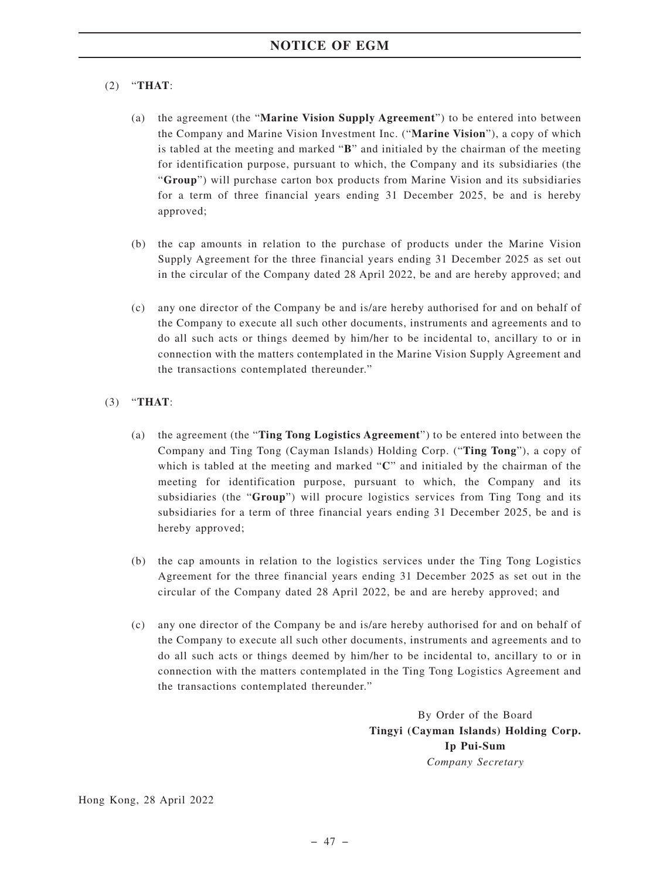# (2) "**THAT**:

- (a) the agreement (the "**Marine Vision Supply Agreement**") to be entered into between the Company and Marine Vision Investment Inc. ("**Marine Vision**"), a copy of which is tabled at the meeting and marked "**B**" and initialed by the chairman of the meeting for identification purpose, pursuant to which, the Company and its subsidiaries (the "**Group**") will purchase carton box products from Marine Vision and its subsidiaries for a term of three financial years ending 31 December 2025, be and is hereby approved;
- (b) the cap amounts in relation to the purchase of products under the Marine Vision Supply Agreement for the three financial years ending 31 December 2025 as set out in the circular of the Company dated 28 April 2022, be and are hereby approved; and
- (c) any one director of the Company be and is/are hereby authorised for and on behalf of the Company to execute all such other documents, instruments and agreements and to do all such acts or things deemed by him/her to be incidental to, ancillary to or in connection with the matters contemplated in the Marine Vision Supply Agreement and the transactions contemplated thereunder."

## (3) "**THAT**:

- (a) the agreement (the "**Ting Tong Logistics Agreement**") to be entered into between the Company and Ting Tong (Cayman Islands) Holding Corp. ("**Ting Tong**"), a copy of which is tabled at the meeting and marked "**C**" and initialed by the chairman of the meeting for identification purpose, pursuant to which, the Company and its subsidiaries (the "**Group**") will procure logistics services from Ting Tong and its subsidiaries for a term of three financial years ending 31 December 2025, be and is hereby approved;
- (b) the cap amounts in relation to the logistics services under the Ting Tong Logistics Agreement for the three financial years ending 31 December 2025 as set out in the circular of the Company dated 28 April 2022, be and are hereby approved; and
- (c) any one director of the Company be and is/are hereby authorised for and on behalf of the Company to execute all such other documents, instruments and agreements and to do all such acts or things deemed by him/her to be incidental to, ancillary to or in connection with the matters contemplated in the Ting Tong Logistics Agreement and the transactions contemplated thereunder."

By Order of the Board **Tingyi (Cayman Islands) Holding Corp. Ip Pui-Sum** *Company Secretary*

Hong Kong, 28 April 2022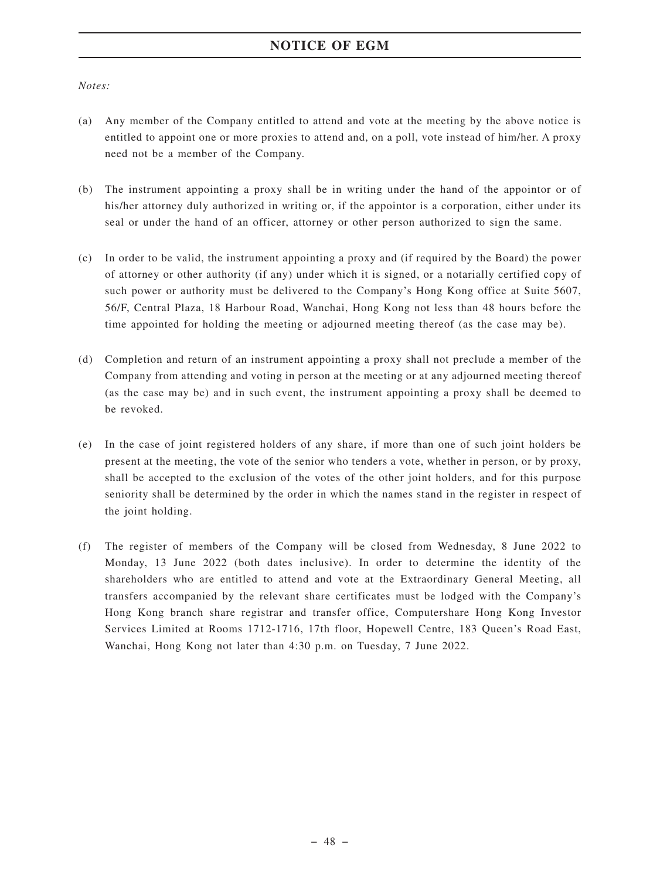# **NOTICE OF EGM**

*Notes:*

- (a) Any member of the Company entitled to attend and vote at the meeting by the above notice is entitled to appoint one or more proxies to attend and, on a poll, vote instead of him/her. A proxy need not be a member of the Company.
- (b) The instrument appointing a proxy shall be in writing under the hand of the appointor or of his/her attorney duly authorized in writing or, if the appointor is a corporation, either under its seal or under the hand of an officer, attorney or other person authorized to sign the same.
- (c) In order to be valid, the instrument appointing a proxy and (if required by the Board) the power of attorney or other authority (if any) under which it is signed, or a notarially certified copy of such power or authority must be delivered to the Company's Hong Kong office at Suite 5607, 56/F, Central Plaza, 18 Harbour Road, Wanchai, Hong Kong not less than 48 hours before the time appointed for holding the meeting or adjourned meeting thereof (as the case may be).
- (d) Completion and return of an instrument appointing a proxy shall not preclude a member of the Company from attending and voting in person at the meeting or at any adjourned meeting thereof (as the case may be) and in such event, the instrument appointing a proxy shall be deemed to be revoked.
- (e) In the case of joint registered holders of any share, if more than one of such joint holders be present at the meeting, the vote of the senior who tenders a vote, whether in person, or by proxy, shall be accepted to the exclusion of the votes of the other joint holders, and for this purpose seniority shall be determined by the order in which the names stand in the register in respect of the joint holding.
- (f) The register of members of the Company will be closed from Wednesday, 8 June 2022 to Monday, 13 June 2022 (both dates inclusive). In order to determine the identity of the shareholders who are entitled to attend and vote at the Extraordinary General Meeting, all transfers accompanied by the relevant share certificates must be lodged with the Company's Hong Kong branch share registrar and transfer office, Computershare Hong Kong Investor Services Limited at Rooms 1712-1716, 17th floor, Hopewell Centre, 183 Queen's Road East, Wanchai, Hong Kong not later than 4:30 p.m. on Tuesday, 7 June 2022.